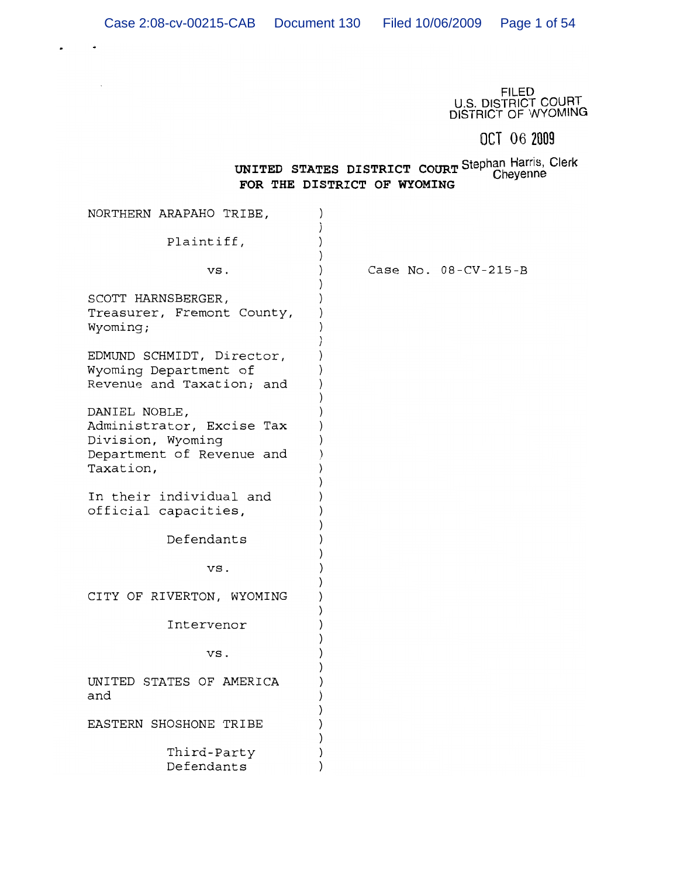$\bar{\beta}$ 

FILED<br>U.S. DISTRICT COURT<br>DISTRICT OF WYOMING

# OCT 06 2009

# UNITED STATES DISTRICT COURT Stephan Harris, Clerk<br>FOR THE DISTRICT OF WYONTNG FOR THE DISTRICT OF WYOMING

| NORTHERN ARAPAHO TRIBE,                                                                                   |                      |
|-----------------------------------------------------------------------------------------------------------|----------------------|
| Plaintiff,                                                                                                |                      |
| VS.                                                                                                       | Case No. 08-CV-215-B |
| SCOTT HARNSBERGER,<br>Treasurer, Fremont County,<br>Wyoming;                                              |                      |
| EDMUND SCHMIDT, Director,<br>Wyoming Department of<br>Revenue and Taxation; and                           |                      |
| DANIEL NOBLE,<br>Administrator, Excise Tax<br>Division, Wyoming<br>Department of Revenue and<br>Taxation, |                      |
| In their individual and<br>official capacities,                                                           |                      |
| Defendants                                                                                                |                      |
| VS.                                                                                                       |                      |
| CITY OF RIVERTON, WYOMING                                                                                 |                      |
| Intervenor                                                                                                |                      |
| VS.                                                                                                       |                      |
| UNITED STATES OF AMERICA<br>and                                                                           |                      |
| EASTERN SHOSHONE TRIBE                                                                                    |                      |
| Third-Party<br>Defendants                                                                                 |                      |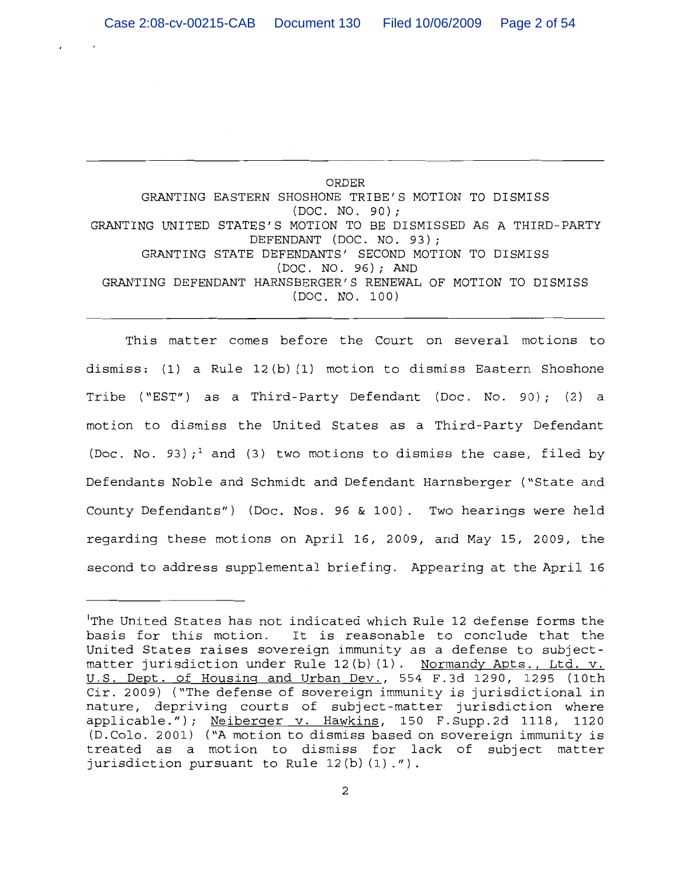**ORDER** GRANTING EASTERN SHOSHONE TRIBE'S MOTION TO DISMISS  $(DOC. NO. 90);$ GRANTING UNITED STATES'S MOTION TO BE DISMISSED AS A THIRD-PARTY DEFENDANT (DOC. NO. 93); GRANTING STATE DEFENDANTS' SECOND MOTION TO DISMISS (DOC. NO. 96); AND GRANTING DEFENDANT HARNSBERGER'S RENEWAL OF MOTION TO DISMISS (DOC. NO. 100)

This matter comes before the Court on several motions to dismiss: (1) a Rule 12(b)(1) motion to dismiss Eastern Shoshone Tribe ("EST") as a Third-Party Defendant (Doc. No. 90); (2) a motion to dismiss the United States as a Third-Party Defendant (Doc. No. 93);<sup>1</sup> and (3) two motions to dismiss the case, filed by Defendants Noble and Schmidt and Defendant Harnsberger ("State and County Defendants") (Doc. Nos. 96 & 100). Two hearings were held regarding these motions on April 16, 2009, and May 15, 2009, the second to address supplemental briefing. Appearing at the April 16

The United States has not indicated which Rule 12 defense forms the basis for this motion. It is reasonable to conclude that the United States raises sovereign immunity as a defense to subjectmatter jurisdiction under Rule 12(b)(1). Normandy Apts., Ltd. v. U.S. Dept. of Housing and Urban Dev., 554 F.3d 1290, 1295 (10th Cir. 2009) ("The defense of sovereign immunity is jurisdictional in nature, depriving courts of subject-matter jurisdiction where applicable."); Neiberger v. Hawkins, 150 F.Supp.2d 1118, 1120 (D.Colo. 2001) ("A motion to dismiss based on sovereign immunity is treated as a motion to dismiss for lack of subject matter jurisdiction pursuant to Rule 12(b)(1).").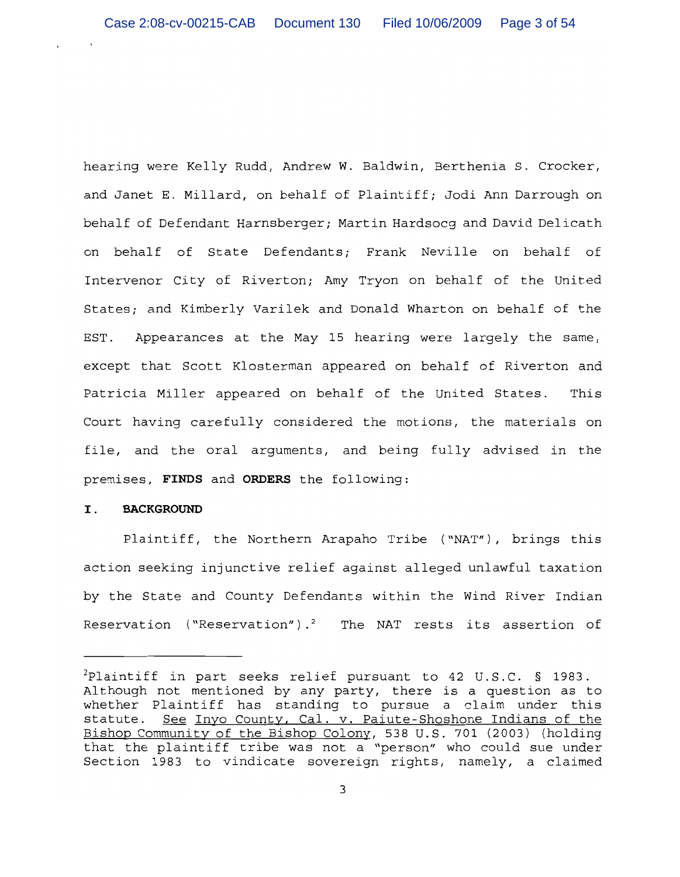hearing were Kelly Rudd, Andrew W. Baldwin, Berthenia S. Crocker, and Janet E. Millard, on behalf of Plaintiff; Jodi Ann Darrough on behalf of Defendant Harnsberger; Martin Hardsocg and David Delicath on behalf of State Defendants; Frank Neville on behalf of Intervenor City of Riverton; Amy Tryon on behalf of the United States; and Kimberly Varilek and Donald Wharton on behalf of the EST. Appearances at the May 15 hearing were largely the same, except that Scott Klosterman appeared on behalf of Riverton and Patricia Miller appeared on behalf of the United States. This Court having carefully considered the motions, the materials on file, and the oral arguments, and being fully advised in the premises, FINDS and ORDERS the following:

#### $\mathbf{I}$ . **BACKGROUND**

Plaintiff, the Northern Arapaho Tribe ("NAT"), brings this action seeking injunctive relief against alleged unlawful taxation by the State and County Defendants within the Wind River Indian Reservation ("Reservation").<sup>2</sup> The NAT rests its assertion of

<sup>&</sup>lt;sup>2</sup>Plaintiff in part seeks relief pursuant to 42 U.S.C. § 1983. Although not mentioned by any party, there is a question as to whether Plaintiff has standing to pursue a claim under this See Inyo County, Cal. v. Paiute-Shoshone Indians of the statute. Bishop Community of the Bishop Colony, 538 U.S. 701 (2003) (holding that the plaintiff tribe was not a "person" who could sue under Section 1983 to vindicate sovereign rights, namely, a claimed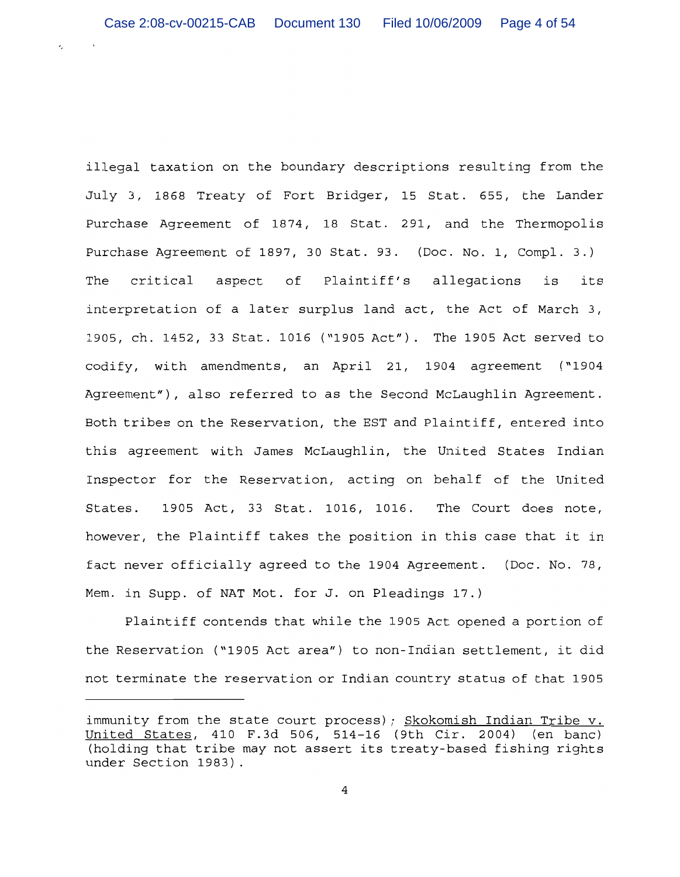$\sim$   $\sim$ 

×.

illegal taxation on the boundary descriptions resulting from the July 3, 1868 Treaty of Fort Bridger, 15 Stat. 655, the Lander Purchase Agreement of 1874, 18 Stat. 291, and the Thermopolis Purchase Agreement of 1897, 30 Stat. 93. (Doc. No. 1, Compl. 3.) critical aspect of Plaintiff's allegations The is its interpretation of a later surplus land act, the Act of March 3, 1905, ch. 1452, 33 Stat. 1016 ("1905 Act"). The 1905 Act served to codify, with amendments, an April 21, 1904 agreement ("1904 Agreement"), also referred to as the Second McLaughlin Agreement. Both tribes on the Reservation, the EST and Plaintiff, entered into this agreement with James McLaughlin, the United States Indian Inspector for the Reservation, acting on behalf of the United States. 1905 Act, 33 Stat. 1016, 1016. The Court does note, however, the Plaintiff takes the position in this case that it in fact never officially agreed to the 1904 Agreement. (Doc. No. 78, Mem. in Supp. of NAT Mot. for J. on Pleadings 17.)

Plaintiff contends that while the 1905 Act opened a portion of the Reservation ("1905 Act area") to non-Indian settlement, it did not terminate the reservation or Indian country status of that 1905

immunity from the state court process); Skokomish Indian Tribe v. United States, 410 F.3d 506, 514-16 (9th Cir. 2004) (en banc) (holding that tribe may not assert its treaty-based fishing rights under Section 1983).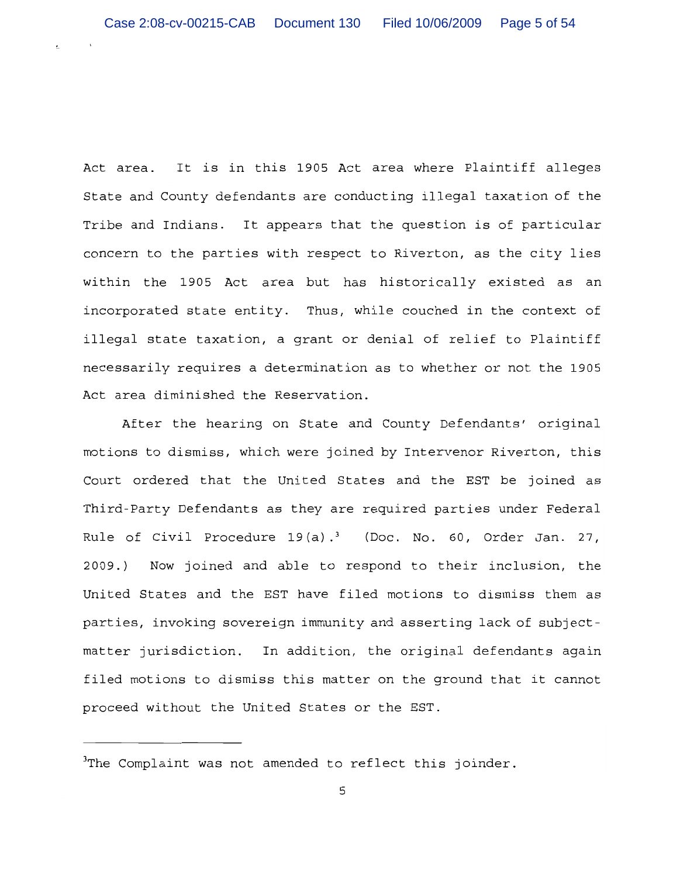Act area. It is in this 1905 Act area where Plaintiff alleges State and County defendants are conducting illegal taxation of the Tribe and Indians. It appears that the question is of particular concern to the parties with respect to Riverton, as the city lies within the 1905 Act area but has historically existed as an incorporated state entity. Thus, while couched in the context of illegal state taxation, a grant or denial of relief to Plaintiff necessarily requires a determination as to whether or not the 1905 Act area diminished the Reservation.

After the hearing on State and County Defendants' original motions to dismiss, which were joined by Intervenor Riverton, this Court ordered that the United States and the EST be joined as Third-Party Defendants as they are required parties under Federal Rule of Civil Procedure  $19(a).$ <sup>3</sup> (Doc. No. 60, Order Jan. 27, 2009.) Now joined and able to respond to their inclusion, the United States and the EST have filed motions to dismiss them as parties, invoking sovereign immunity and asserting lack of subjectmatter jurisdiction. In addition, the original defendants again filed motions to dismiss this matter on the ground that it cannot proceed without the United States or the EST.

 $3$ The Complaint was not amended to reflect this joinder.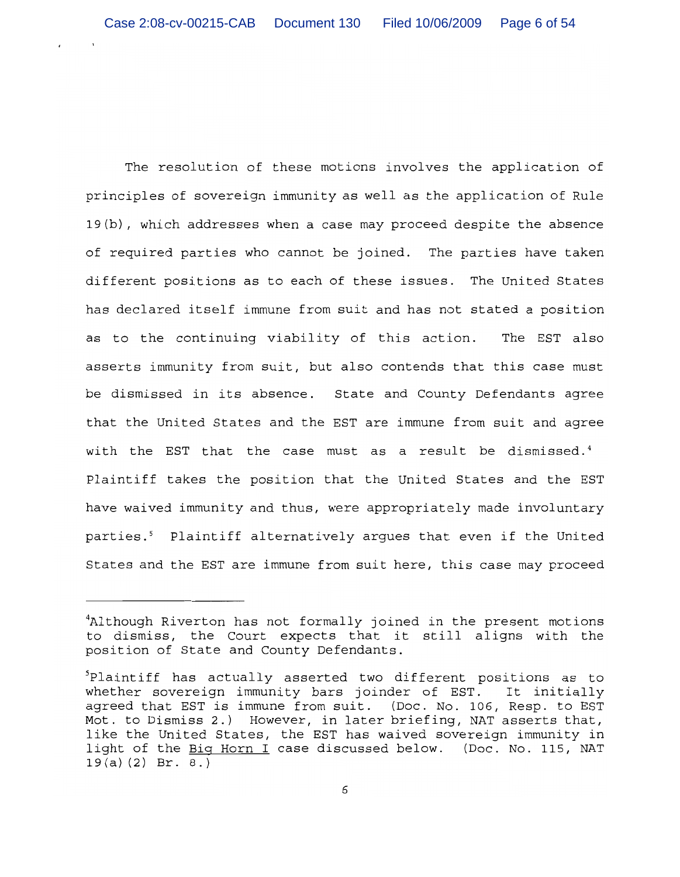The resolution of these motions involves the application of principles of sovereign immunity as well as the application of Rule 19(b), which addresses when a case may proceed despite the absence of required parties who cannot be joined. The parties have taken different positions as to each of these issues. The United States has declared itself immune from suit and has not stated a position as to the continuing viability of this action. The EST also asserts immunity from suit, but also contends that this case must be dismissed in its absence. State and County Defendants agree that the United States and the EST are immune from suit and agree with the EST that the case must as a result be dismissed.<sup>4</sup> Plaintiff takes the position that the United States and the EST have waived immunity and thus, were appropriately made involuntary parties.<sup>5</sup> Plaintiff alternatively argues that even if the United States and the EST are immune from suit here, this case may proceed

<sup>&</sup>lt;sup>4</sup>Although Riverton has not formally joined in the present motions to dismiss, the Court expects that it still aligns with the position of State and County Defendants.

Plaintiff has actually asserted two different positions as to whether sovereign immunity bars joinder of EST. It initially agreed that EST is immune from suit. (Doc. No. 106, Resp. to EST Mot. to Dismiss 2.) However, in later briefing, NAT asserts that, like the United States, the EST has waived sovereign immunity in light of the Big Horn I case discussed below. (Doc. No. 115, NAT  $19(a)(2)$  Br. 8.)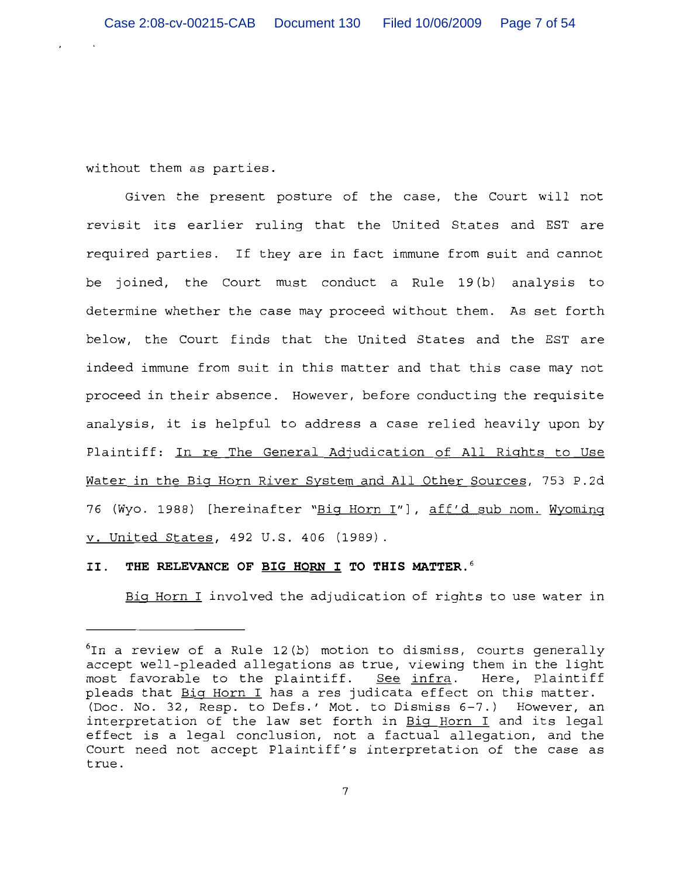without them as parties.

Given the present posture of the case, the Court will not revisit its earlier ruling that the United States and EST are required parties. If they are in fact immune from suit and cannot be joined, the Court must conduct a Rule 19(b) analysis to determine whether the case may proceed without them. As set forth below, the Court finds that the United States and the EST are indeed immune from suit in this matter and that this case may not proceed in their absence. However, before conducting the requisite analysis, it is helpful to address a case relied heavily upon by Plaintiff: In re The General Adjudication of All Rights to Use Water in the Big Horn River System and All Other Sources, 753 P.2d 76 (Wyo. 1988) [hereinafter "Big Horn I"], aff'd sub nom. Wyoming v. United States, 492 U.S. 406 (1989).

## THE RELEVANCE OF BIG HORN I TO THIS MATTER.<sup>6</sup> II.

Big Horn I involved the adjudication of rights to use water in

 ${}^6$ In a review of a Rule 12(b) motion to dismiss, courts generally accept well-pleaded allegations as true, viewing them in the light most favorable to the plaintiff. See infra. Here, Plaintiff pleads that Big Horn I has a res judicata effect on this matter. (Doc. No. 32, Resp. to Defs.' Mot. to Dismiss 6-7.) However, an interpretation of the law set forth in Big Horn I and its legal effect is a legal conclusion, not a factual allegation, and the Court need not accept Plaintiff's interpretation of the case as true.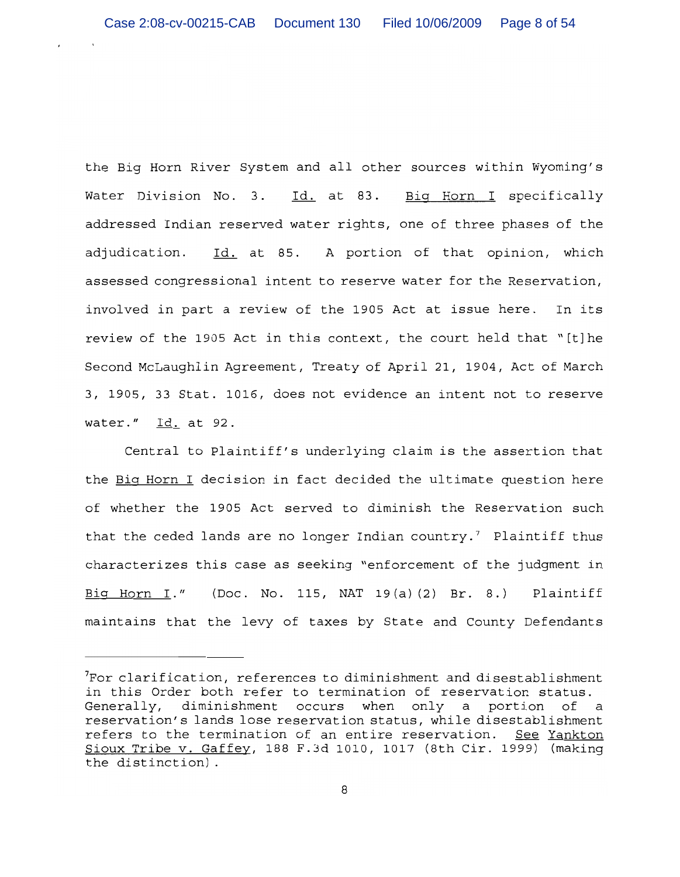the Big Horn River System and all other sources within Wyoming's Water Division No. 3. Id. at 83. Big Horn I specifically addressed Indian reserved water rights, one of three phases of the adjudication. Id. at 85. A portion of that opinion, which assessed congressional intent to reserve water for the Reservation, involved in part a review of the 1905 Act at issue here. In its review of the 1905 Act in this context, the court held that "[t] he Second McLaughlin Agreement, Treaty of April 21, 1904, Act of March 3, 1905, 33 Stat. 1016, does not evidence an intent not to reserve water." Id. at 92.

Central to Plaintiff's underlying claim is the assertion that the Big Horn I decision in fact decided the ultimate question here of whether the 1905 Act served to diminish the Reservation such that the ceded lands are no longer Indian country.<sup>7</sup> Plaintiff thus characterizes this case as seeking "enforcement of the judgment in Big Horn I." (Doc. No. 115, NAT 19(a)(2) Br. 8.) Plaintiff maintains that the levy of taxes by State and County Defendants

For clarification, references to diminishment and disestablishment in this Order both refer to termination of reservation status. Generally, diminishment occurs when only a portion of a reservation's lands lose reservation status, while disestablishment refers to the termination of an entire reservation. See Yankton Sioux Tribe v. Gaffey, 188 F.3d 1010, 1017 (8th Cir. 1999) (making the distinction).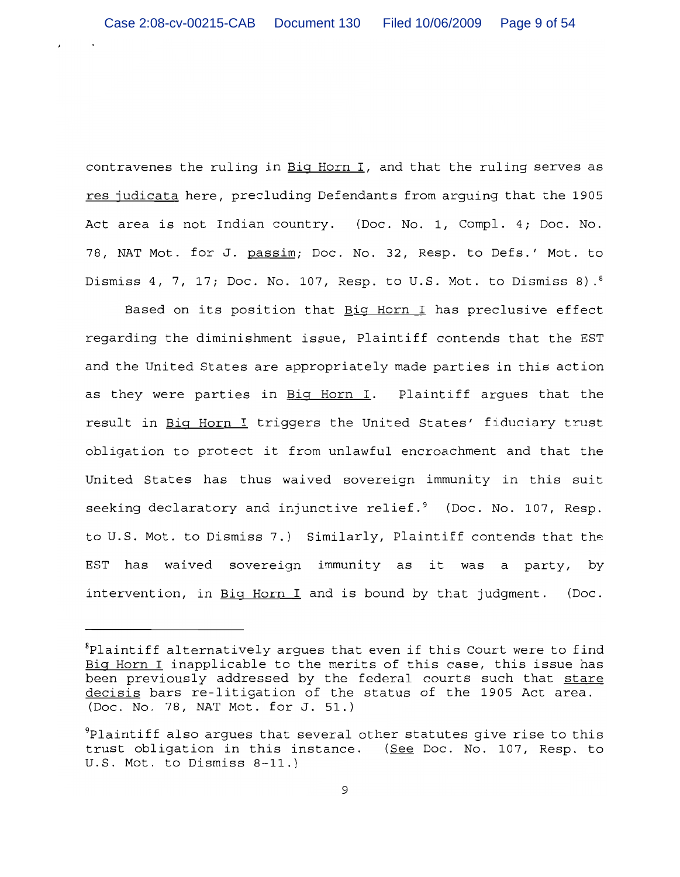contravenes the ruling in Big Horn I, and that the ruling serves as res judicata here, precluding Defendants from arguing that the 1905 Act area is not Indian country. (Doc. No. 1, Compl. 4; Doc. No. 78, NAT Mot. for J. passim; Doc. No. 32, Resp. to Defs.' Mot. to Dismiss 4, 7, 17; Doc. No. 107, Resp. to U.S. Mot. to Dismiss 8).8

Based on its position that Big Horn I has preclusive effect regarding the diminishment issue, Plaintiff contends that the EST and the United States are appropriately made parties in this action as they were parties in Big Horn I. Plaintiff argues that the result in Big Horn I triggers the United States' fiduciary trust obligation to protect it from unlawful encroachment and that the United States has thus waived sovereign immunity in this suit seeking declaratory and injunctive relief.<sup>9</sup> (Doc. No. 107, Resp. to U.S. Mot. to Dismiss 7.) Similarly, Plaintiff contends that the EST has waived sovereign immunity as it was a party, by intervention, in Big Horn I and is bound by that judgment. (Doc.

 ${}^8$ Plaintiff alternatively argues that even if this Court were to find Big Horn I inapplicable to the merits of this case, this issue has been previously addressed by the federal courts such that stare decisis bars re-litigation of the status of the 1905 Act area. (Doc. No. 78, NAT Mot. for J. 51.)

Plaintiff also argues that several other statutes give rise to this trust obligation in this instance. (See Doc. No. 107, Resp. to U.S. Mot. to Dismiss 8-11.)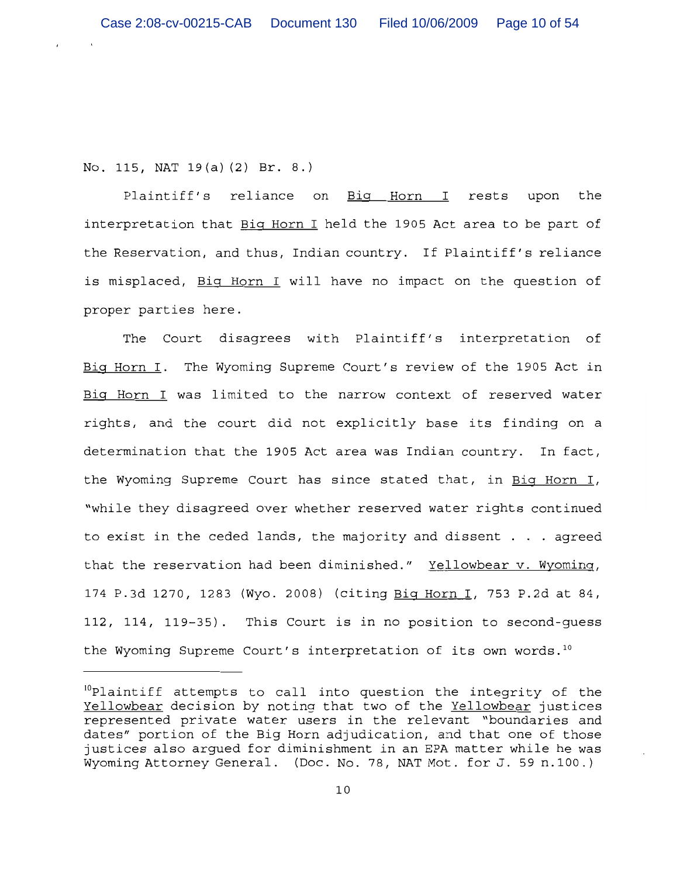No. 115, NAT 19(a)(2) Br. 8.)

Plaintiff's reliance on Big Horn I rests upon the interpretation that Big Horn I held the 1905 Act area to be part of the Reservation, and thus, Indian country. If Plaintiff's reliance is misplaced, Big Horn I will have no impact on the question of proper parties here.

The Court disagrees with Plaintiff's interpretation of Big Horn I. The Wyoming Supreme Court's review of the 1905 Act in Big Horn I was limited to the narrow context of reserved water rights, and the court did not explicitly base its finding on a determination that the 1905 Act area was Indian country. In fact, the Wyoming Supreme Court has since stated that, in Big Horn I, "while they disagreed over whether reserved water rights continued to exist in the ceded lands, the majority and dissent . . . agreed that the reservation had been diminished." Yellowbear v. Wyoming, 174 P.3d 1270, 1283 (Wyo. 2008) (citing Big Horn I, 753 P.2d at 84, 112, 114, 119-35). This Court is in no position to second-guess the Wyoming Supreme Court's interpretation of its own words.<sup>10</sup>

<sup>&</sup>lt;sup>10</sup>Plaintiff attempts to call into question the integrity of the Yellowbear decision by noting that two of the Yellowbear justices represented private water users in the relevant "boundaries and dates" portion of the Big Horn adjudication, and that one of those justices also argued for diminishment in an EPA matter while he was Wyoming Attorney General. (Doc. No. 78, NAT Mot. for J. 59 n.100.)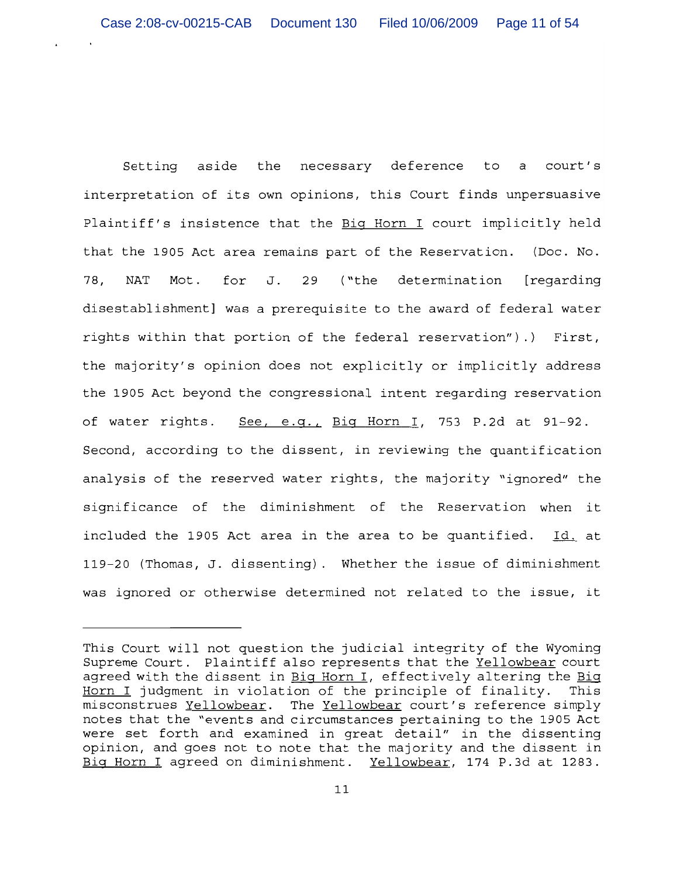Setting aside the necessary deference to a court's interpretation of its own opinions, this Court finds unpersuasive Plaintiff's insistence that the Big Horn I court implicitly held that the 1905 Act area remains part of the Reservation. (Doc. No. 78, NAT Mot. for J. 29 ("the determination [regarding disestablishment] was a prerequisite to the award of federal water rights within that portion of the federal reservation").) First, the majority's opinion does not explicitly or implicitly address the 1905 Act beyond the congressional intent regarding reservation of water rights. See, e.q., Biq Horn I, 753 P.2d at 91-92. Second, according to the dissent, in reviewing the quantification analysis of the reserved water rights, the majority "ignored" the significance of the diminishment of the Reservation when it included the 1905 Act area in the area to be quantified. Id. at 119-20 (Thomas, J. dissenting). Whether the issue of diminishment was ignored or otherwise determined not related to the issue, it

This Court will not question the judicial integrity of the Wyoming Supreme Court. Plaintiff also represents that the Yellowbear court agreed with the dissent in Big Horn I, effectively altering the Big Horn I judgment in violation of the principle of finality. This misconstrues Yellowbear. The Yellowbear court's reference simply notes that the "events and circumstances pertaining to the 1905 Act were set forth and examined in great detail" in the dissenting opinion, and goes not to note that the majority and the dissent in Big Horn I agreed on diminishment. Yellowbear, 174 P.3d at 1283.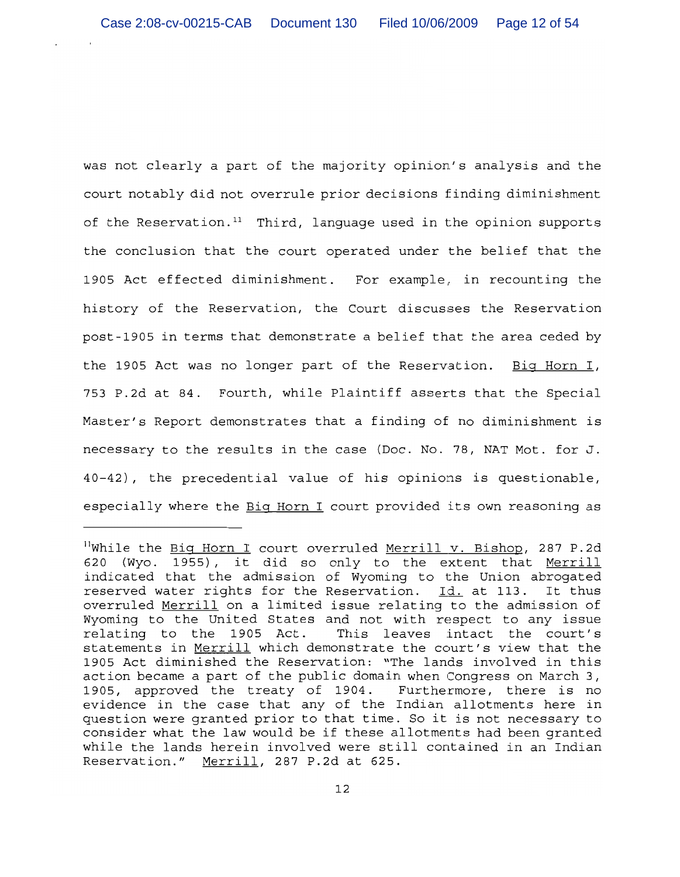was not clearly a part of the majority opinion's analysis and the court notably did not overrule prior decisions finding diminishment of the Reservation.<sup>11</sup> Third, language used in the opinion supports the conclusion that the court operated under the belief that the 1905 Act effected diminishment. For example, in recounting the history of the Reservation, the Court discusses the Reservation post-1905 in terms that demonstrate a belief that the area ceded by the 1905 Act was no longer part of the Reservation. Big Horn I, 753 P.2d at 84. Fourth, while Plaintiff asserts that the Special Master's Report demonstrates that a finding of no diminishment is necessary to the results in the case (Doc. No. 78, NAT Mot. for J. 40-42), the precedential value of his opinions is questionable, especially where the Big Horn I court provided its own reasoning as

<sup>&</sup>lt;sup>11</sup>While the Big Horn I court overruled Merrill v. Bishop, 287 P.2d 620 (Wyo. 1955), it did so only to the extent that Merrill indicated that the admission of Wyoming to the Union abrogated reserved water rights for the Reservation. Id. at 113. It thus overruled Merrill on a limited issue relating to the admission of Wyoming to the United States and not with respect to any issue relating to the 1905 Act. This leaves intact the court's statements in Merrill which demonstrate the court's view that the 1905 Act diminished the Reservation: "The lands involved in this action became a part of the public domain when Congress on March 3, 1905, approved the treaty of 1904. Furthermore, there is no evidence in the case that any of the Indian allotments here in question were granted prior to that time. So it is not necessary to consider what the law would be if these allotments had been granted while the lands herein involved were still contained in an Indian Reservation." Merrill, 287 P.2d at 625.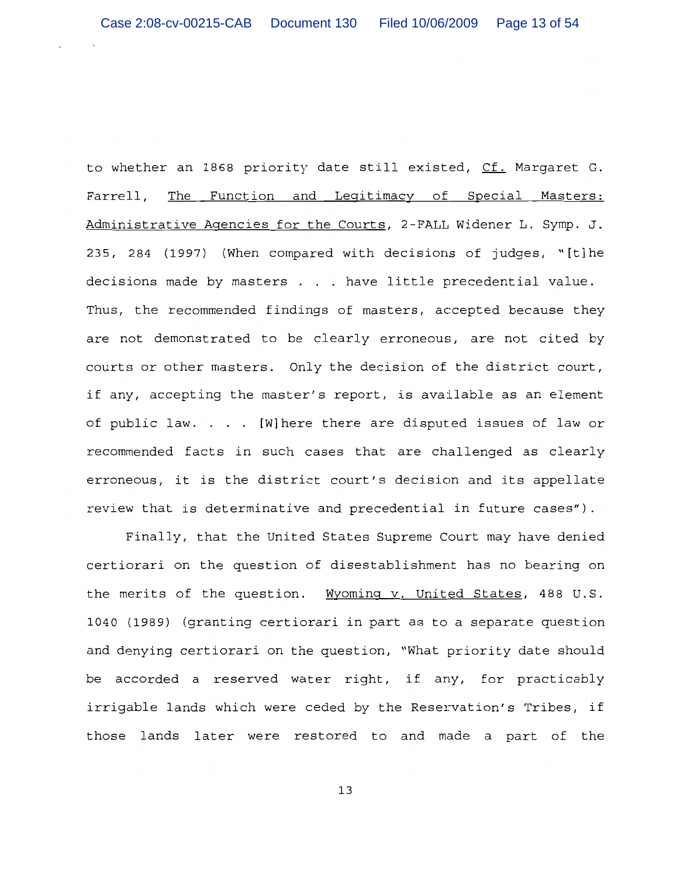to whether an 1868 priority date still existed, Cf. Margaret G. Farrell, The Function and Legitimacy of Special Masters: Administrative Agencies for the Courts, 2-FALL Widener L. Symp. J. 235, 284 (1997) (When compared with decisions of judges, "[t]he decisions made by masters . . . have little precedential value. Thus, the recommended findings of masters, accepted because they are not demonstrated to be clearly erroneous, are not cited by courts or other masters. Only the decision of the district court, if any, accepting the master's report, is available as an element of public law. . . . [W] here there are disputed issues of law or recommended facts in such cases that are challenged as clearly erroneous, it is the district court's decision and its appellate review that is determinative and precedential in future cases").

Finally, that the United States Supreme Court may have denied certiorari on the question of disestablishment has no bearing on the merits of the question. Wyoming v. United States, 488 U.S. 1040 (1989) (granting certiorari in part as to a separate question and denying certiorari on the question, "What priority date should be accorded a reserved water right, if any, for practicably irrigable lands which were ceded by the Reservation's Tribes, if those lands later were restored to and made a part of the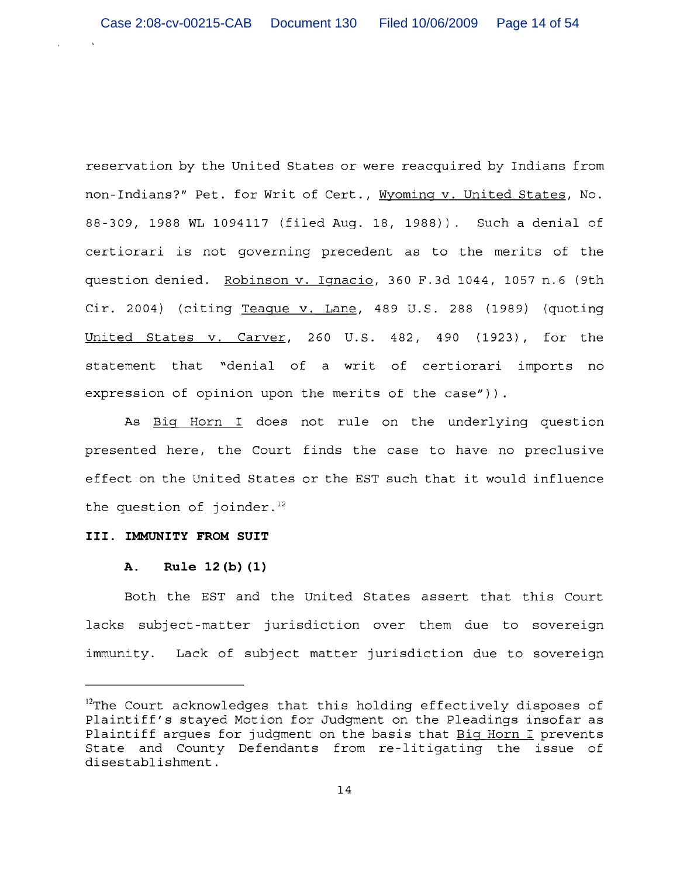reservation by the United States or were reacquired by Indians from non-Indians?" Pet. for Writ of Cert., Wyoming v. United States, No. 88-309, 1988 WL 1094117 (filed Aug. 18, 1988)). Such a denial of certiorari is not governing precedent as to the merits of the question denied. Robinson v. Ignacio, 360 F.3d 1044, 1057 n.6 (9th Cir. 2004) (citing Teaque v. Lane, 489 U.S. 288 (1989) (quoting United States v. Carver, 260 U.S. 482, 490 (1923), for the statement that "denial of a writ of certiorari imports no expression of opinion upon the merits of the case")).

As Big Horn I does not rule on the underlying question presented here, the Court finds the case to have no preclusive effect on the United States or the EST such that it would influence the question of joinder.<sup>12</sup>

## III. IMMUNITY FROM SUIT

#### Rule 12(b)(1) A.

Both the EST and the United States assert that this Court lacks subject-matter jurisdiction over them due to sovereign immunity. Lack of subject matter jurisdiction due to sovereign

<sup>&</sup>lt;sup>12</sup>The Court acknowledges that this holding effectively disposes of Plaintiff's stayed Motion for Judgment on the Pleadings insofar as Plaintiff argues for judgment on the basis that Big Horn I prevents State and County Defendants from re-litigating the issue of disestablishment.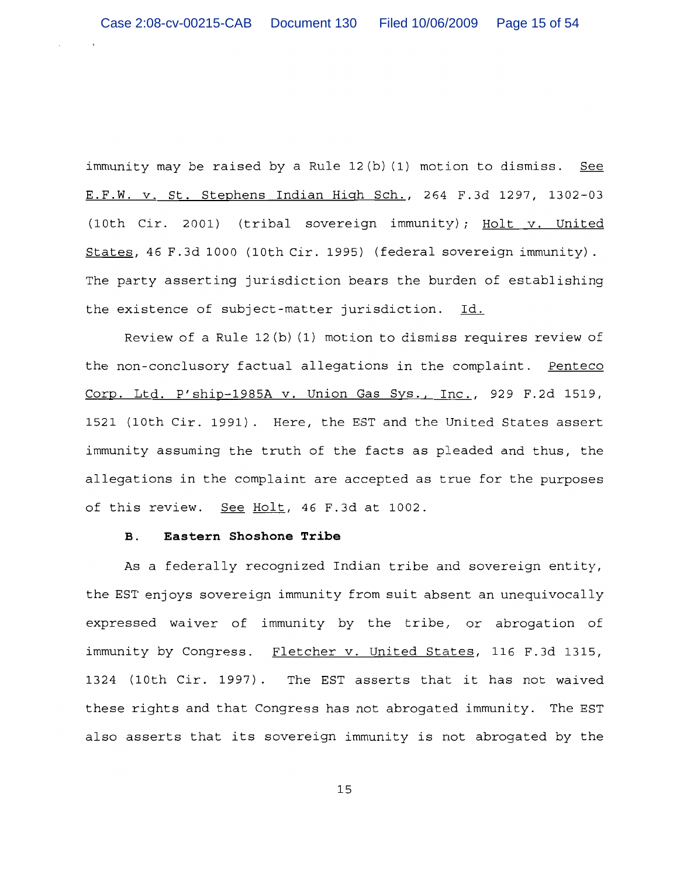immunity may be raised by a Rule 12(b) (1) motion to dismiss. See E.F.W. v. St. Stephens Indian High Sch., 264 F.3d 1297, 1302-03 (10th Cir. 2001) (tribal sovereign immunity); Holt v. United States, 46 F.3d 1000 (10th Cir. 1995) (federal sovereign immunity). The party asserting jurisdiction bears the burden of establishing the existence of subject-matter jurisdiction. Id.

Review of a Rule  $12(b)$  (1) motion to dismiss requires review of the non-conclusory factual allegations in the complaint. Penteco Corp. Ltd. P'ship-1985A v. Union Gas Sys., Inc., 929 F.2d 1519, 1521 (10th Cir. 1991). Here, the EST and the United States assert immunity assuming the truth of the facts as pleaded and thus, the allegations in the complaint are accepted as true for the purposes of this review. See Holt, 46 F.3d at 1002.

## $B.$ Eastern Shoshone Tribe

As a federally recognized Indian tribe and sovereign entity, the EST enjoys sovereign immunity from suit absent an unequivocally expressed waiver of immunity by the tribe, or abrogation of immunity by Congress. Fletcher v. United States, 116 F.3d 1315, 1324 (10th Cir. 1997). The EST asserts that it has not waived these rights and that Congress has not abrogated immunity. The EST also asserts that its sovereign immunity is not abrogated by the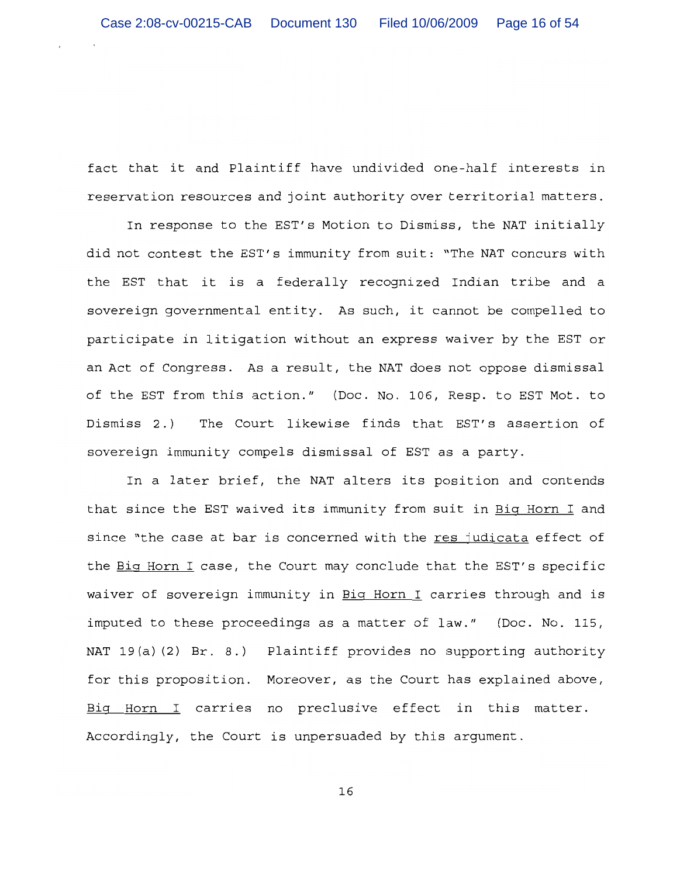fact that it and Plaintiff have undivided one-half interests in reservation resources and joint authority over territorial matters.

In response to the EST's Motion to Dismiss, the NAT initially did not contest the EST's immunity from suit: "The NAT concurs with the EST that it is a federally recognized Indian tribe and a sovereign governmental entity. As such, it cannot be compelled to participate in litigation without an express waiver by the EST or an Act of Congress. As a result, the NAT does not oppose dismissal of the EST from this action." (Doc. No. 106, Resp. to EST Mot. to The Court likewise finds that EST's assertion of Dismiss 2.) sovereign immunity compels dismissal of EST as a party.

In a later brief, the NAT alters its position and contends that since the EST waived its immunity from suit in Big Horn I and since "the case at bar is concerned with the res judicata effect of the Big Horn I case, the Court may conclude that the EST's specific waiver of sovereign immunity in Big Horn I carries through and is imputed to these proceedings as a matter of law." (Doc. No. 115, NAT 19(a)(2) Br. 8.) Plaintiff provides no supporting authority for this proposition. Moreover, as the Court has explained above, Big Horn I carries no preclusive effect in this matter. Accordingly, the Court is unpersuaded by this argument.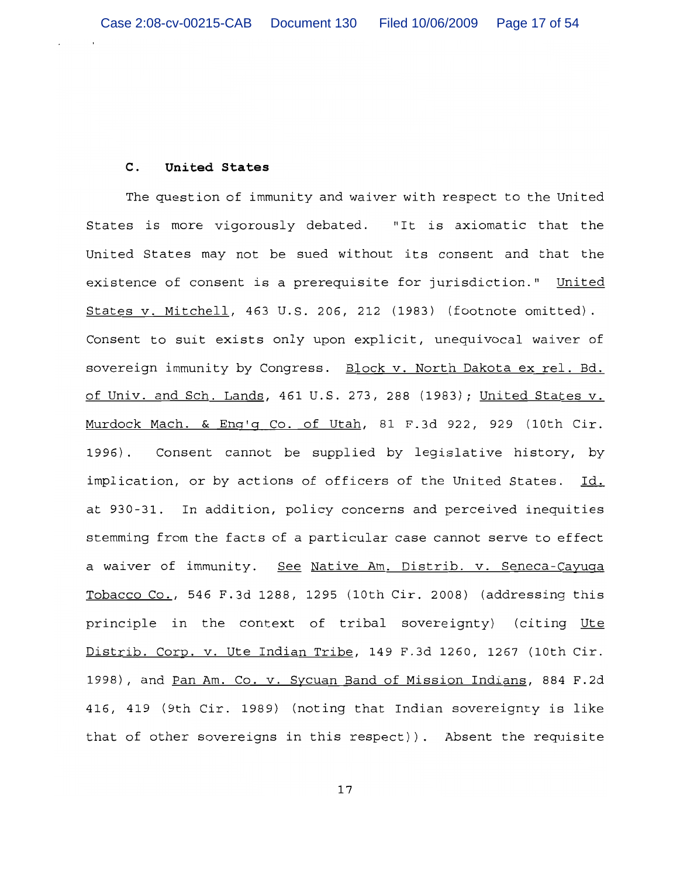#### United States  $\mathbf{C}$ .

The question of immunity and waiver with respect to the United States is more vigorously debated. "It is axiomatic that the United States may not be sued without its consent and that the existence of consent is a prerequisite for jurisdiction." United States v. Mitchell, 463 U.S. 206, 212 (1983) (footnote omitted). Consent to suit exists only upon explicit, unequivocal waiver of sovereign immunity by Congress. Block v. North Dakota ex rel. Bd. of Univ. and Sch. Lands, 461 U.S. 273, 288 (1983); United States v. Murdock Mach. & Eng'g Co. of Utah, 81 F.3d 922, 929 (10th Cir.  $1996$ . Consent cannot be supplied by legislative history, by implication, or by actions of officers of the United States. Id. at 930-31. In addition, policy concerns and perceived inequities stemming from the facts of a particular case cannot serve to effect a waiver of immunity. See Native Am. Distrib. v. Seneca-Cayuqa Tobacco Co., 546 F.3d 1288, 1295 (10th Cir. 2008) (addressing this principle in the context of tribal sovereignty) (citing Ute Distrib. Corp. v. Ute Indian Tribe, 149 F.3d 1260, 1267 (10th Cir. 1998), and Pan Am. Co. v. Sycuan Band of Mission Indians, 884 F.2d 416, 419 (9th Cir. 1989) (noting that Indian sovereignty is like that of other sovereigns in this respect)). Absent the requisite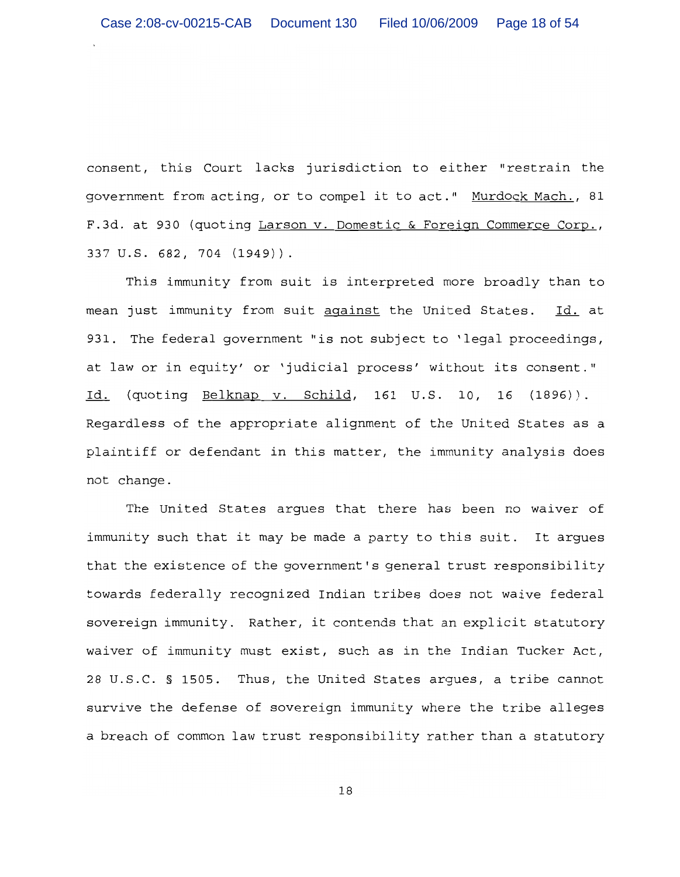consent, this Court lacks jurisdiction to either "restrain the government from acting, or to compel it to act." Murdock Mach., 81 F.3d. at 930 (quoting Larson v. Domestic & Foreign Commerce Corp., 337 U.S. 682, 704 (1949)).

This immunity from suit is interpreted more broadly than to mean just immunity from suit against the United States. Id. at 931. The federal government "is not subject to 'legal proceedings, at law or in equity' or 'judicial process' without its consent." Id. (quoting Belknap v. Schild, 161 U.S. 10, 16 (1896)). Regardless of the appropriate alignment of the United States as a plaintiff or defendant in this matter, the immunity analysis does not change.

The United States arques that there has been no waiver of immunity such that it may be made a party to this suit. It argues that the existence of the government's general trust responsibility towards federally recognized Indian tribes does not waive federal sovereign immunity. Rather, it contends that an explicit statutory waiver of immunity must exist, such as in the Indian Tucker Act, 28 U.S.C. § 1505. Thus, the United States argues, a tribe cannot survive the defense of sovereign immunity where the tribe alleges a breach of common law trust responsibility rather than a statutory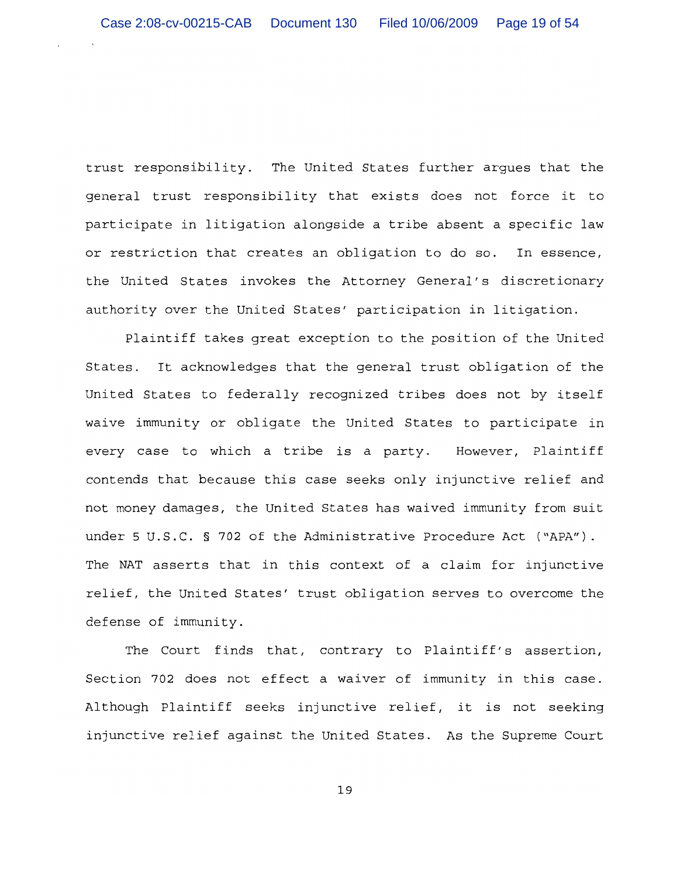trust responsibility. The United States further argues that the general trust responsibility that exists does not force it to participate in litigation alongside a tribe absent a specific law or restriction that creates an obligation to do so. In essence, the United States invokes the Attorney General's discretionary authority over the United States' participation in litigation.

Plaintiff takes great exception to the position of the United States. It acknowledges that the general trust obligation of the United States to federally recognized tribes does not by itself waive immunity or obligate the United States to participate in every case to which a tribe is a party. However, Plaintiff contends that because this case seeks only injunctive relief and not money damages, the United States has waived immunity from suit under 5 U.S.C. § 702 of the Administrative Procedure Act ("APA"). The NAT asserts that in this context of a claim for injunctive relief, the United States' trust obligation serves to overcome the defense of immunity.

The Court finds that, contrary to Plaintiff's assertion, Section 702 does not effect a waiver of immunity in this case. Although Plaintiff seeks injunctive relief, it is not seeking injunctive relief against the United States. As the Supreme Court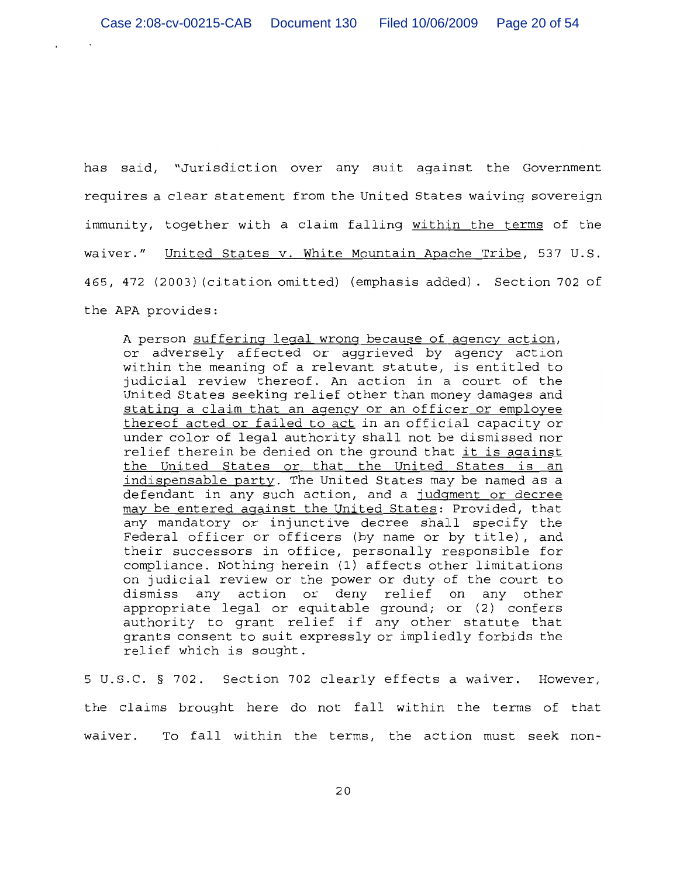has said, "Jurisdiction over any suit against the Government requires a clear statement from the United States waiving sovereign immunity, together with a claim falling within the terms of the waiver." United States v. White Mountain Apache Tribe, 537 U.S. 465, 472 (2003) (citation omitted) (emphasis added). Section 702 of the APA provides:

A person suffering legal wrong because of agency action, or adversely affected or aggrieved by agency action within the meaning of a relevant statute, is entitled to judicial review thereof. An action in a court of the United States seeking relief other than money damages and stating a claim that an agency or an officer or employee thereof acted or failed to act in an official capacity or under color of legal authority shall not be dismissed nor relief therein be denied on the ground that it is against the United States or that the United States is an indispensable party. The United States may be named as a defendant in any such action, and a judqment or decree may be entered against the United States: Provided, that any mandatory or injunctive decree shall specify the Federal officer or officers (by name or by title), and their successors in office, personally responsible for compliance. Nothing herein (1) affects other limitations on judicial review or the power or duty of the court to dismiss any action or deny relief on any other appropriate legal or equitable ground; or (2) confers authority to grant relief if any other statute that grants consent to suit expressly or impliedly forbids the relief which is sought.

5 U.S.C. § 702. Section 702 clearly effects a waiver. However, the claims brought here do not fall within the terms of that waiver. To fall within the terms, the action must seek non-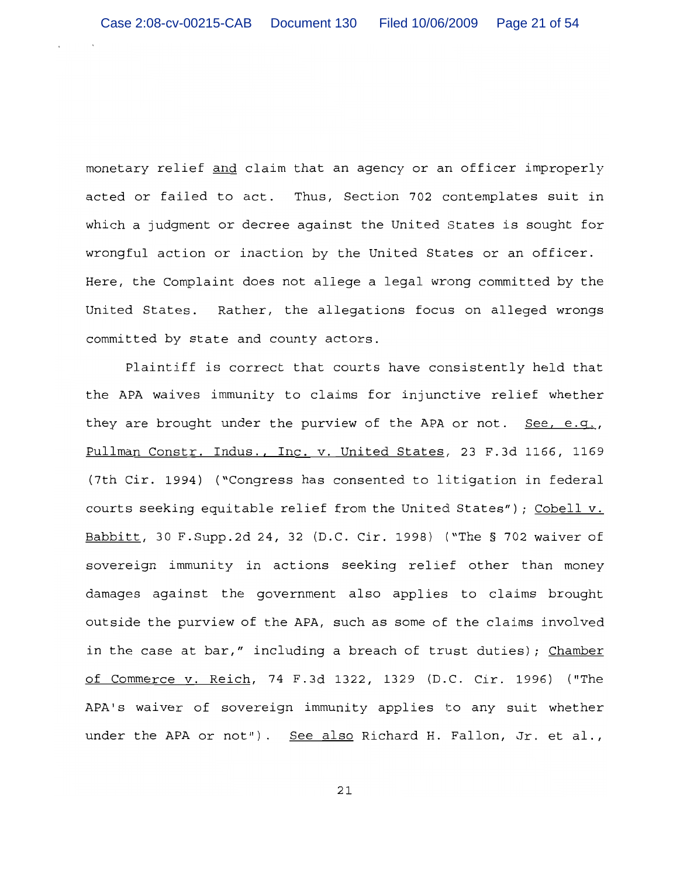monetary relief and claim that an agency or an officer improperly acted or failed to act. Thus, Section 702 contemplates suit in which a judgment or decree against the United States is sought for wrongful action or inaction by the United States or an officer. Here, the Complaint does not allege a legal wrong committed by the United States. Rather, the allegations focus on alleged wrongs committed by state and county actors.

Plaintiff is correct that courts have consistently held that the APA waives immunity to claims for injunctive relief whether they are brought under the purview of the APA or not. See, e.q., Pullman Constr. Indus., Inc. v. United States, 23 F.3d 1166, 1169 (7th Cir. 1994) ("Congress has consented to litigation in federal courts seeking equitable relief from the United States"); Cobell v. Babbitt, 30 F. Supp. 2d 24, 32 (D.C. Cir. 1998) ("The § 702 waiver of sovereign immunity in actions seeking relief other than money damages against the government also applies to claims brought outside the purview of the APA, such as some of the claims involved in the case at bar," including a breach of trust duties); Chamber of Commerce v. Reich, 74 F.3d 1322, 1329 (D.C. Cir. 1996) ("The APA's waiver of sovereign immunity applies to any suit whether under the APA or not"). See also Richard H. Fallon, Jr. et al.,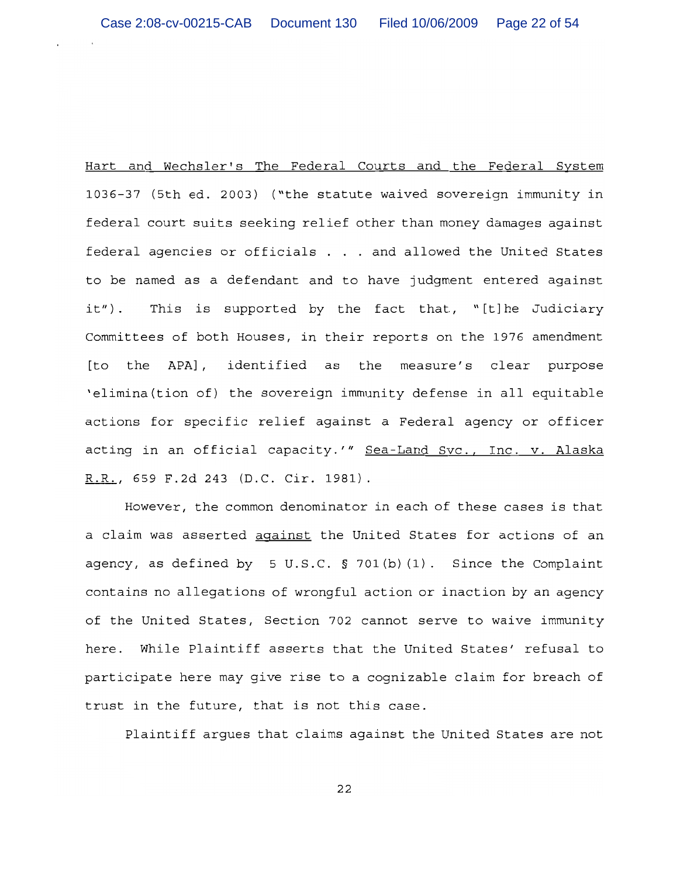Hart and Wechsler's The Federal Courts and the Federal System 1036-37 (5th ed. 2003) ("the statute waived sovereign immunity in federal court suits seeking relief other than money damages against federal agencies or officials . . . and allowed the United States to be named as a defendant and to have judgment entered against This is supported by the fact that, "[t]he Judiciary  $it'$ ). Committees of both Houses, in their reports on the 1976 amendment the APA], identified as the measure's clear purpose [to 'elimina (tion of) the sovereign immunity defense in all equitable actions for specific relief against a Federal agency or officer acting in an official capacity.'" Sea-Land Svc., Inc. v. Alaska R.R., 659 F.2d 243 (D.C. Cir. 1981).

However, the common denominator in each of these cases is that a claim was asserted against the United States for actions of an agency, as defined by  $5 \text{ U.S.C. }$   $\frac{1}{2} \cdot 701(b)(1)$ . Since the Complaint contains no allegations of wrongful action or inaction by an agency of the United States, Section 702 cannot serve to waive immunity here. While Plaintiff asserts that the United States' refusal to participate here may give rise to a cognizable claim for breach of trust in the future, that is not this case.

Plaintiff arques that claims against the United States are not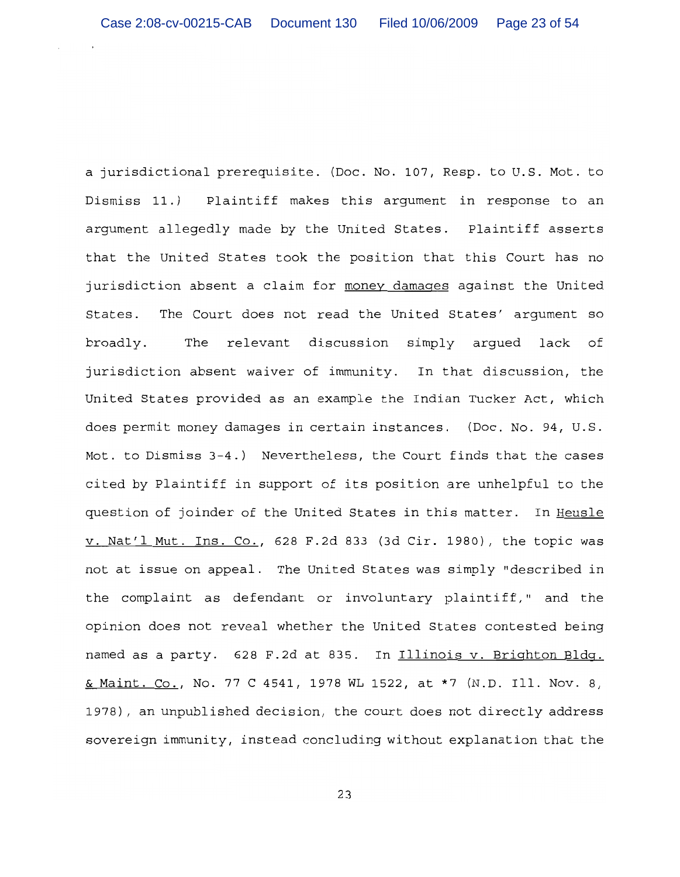a jurisdictional prerequisite. (Doc. No. 107, Resp. to U.S. Mot. to Dismiss 11.) Plaintiff makes this argument in response to an arqument allegedly made by the United States. Plaintiff asserts that the United States took the position that this Court has no jurisdiction absent a claim for money damages against the United The Court does not read the United States' argument so States. relevant discussion simply arqued lack of broadly. The jurisdiction absent waiver of immunity. In that discussion, the United States provided as an example the Indian Tucker Act, which does permit money damages in certain instances. (Doc. No. 94, U.S. Mot. to Dismiss 3-4.) Nevertheless, the Court finds that the cases cited by Plaintiff in support of its position are unhelpful to the question of joinder of the United States in this matter. In Heusle v. Nat'l Mut. Ins. Co., 628 F.2d 833 (3d Cir. 1980), the topic was not at issue on appeal. The United States was simply "described in the complaint as defendant or involuntary plaintiff," and the opinion does not reveal whether the United States contested being named as a party. 628 F.2d at 835. In Illinois v. Brighton Bldg. & Maint. Co., No. 77 C 4541, 1978 WL 1522, at \*7 (N.D. Ill. Nov. 8, 1978), an unpublished decision, the court does not directly address sovereign immunity, instead concluding without explanation that the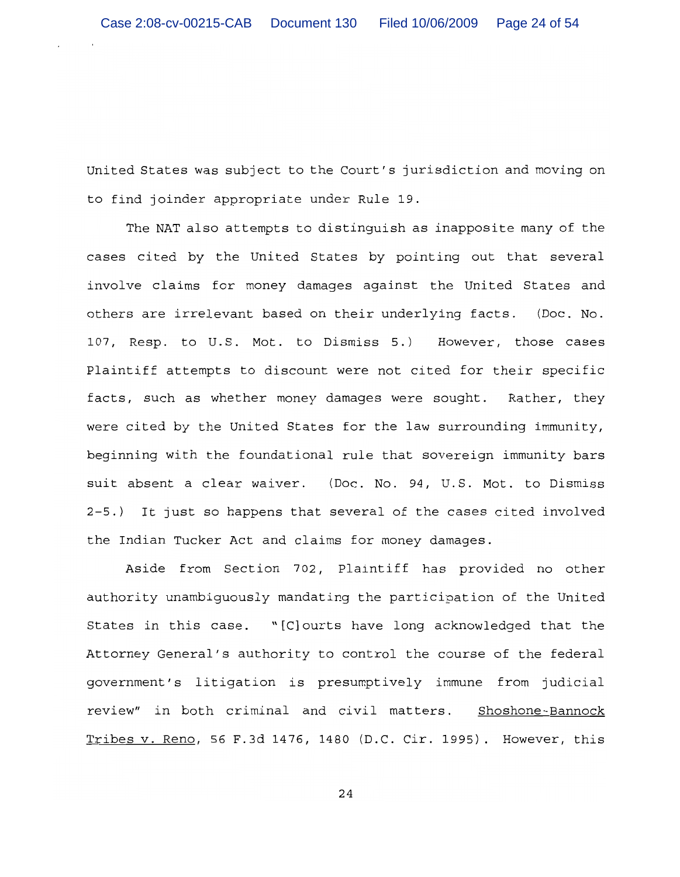United States was subject to the Court's jurisdiction and moving on to find joinder appropriate under Rule 19.

The NAT also attempts to distinguish as inapposite many of the cases cited by the United States by pointing out that several involve claims for money damages against the United States and others are irrelevant based on their underlying facts. (Doc. No. 107, Resp. to U.S. Mot. to Dismiss 5.) However, those cases Plaintiff attempts to discount were not cited for their specific facts, such as whether money damages were sought. Rather, they were cited by the United States for the law surrounding immunity, beginning with the foundational rule that sovereign immunity bars suit absent a clear waiver. (Doc. No. 94, U.S. Mot. to Dismiss 2-5.) It just so happens that several of the cases cited involved the Indian Tucker Act and claims for money damages.

Aside from Section 702, Plaintiff has provided no other authority unambiguously mandating the participation of the United States in this case. "[C] ourts have long acknowledged that the Attorney General's authority to control the course of the federal government's litigation is presumptively immune from judicial review" in both criminal and civil matters. Shoshone-Bannock Tribes v. Reno, 56 F.3d 1476, 1480 (D.C. Cir. 1995). However, this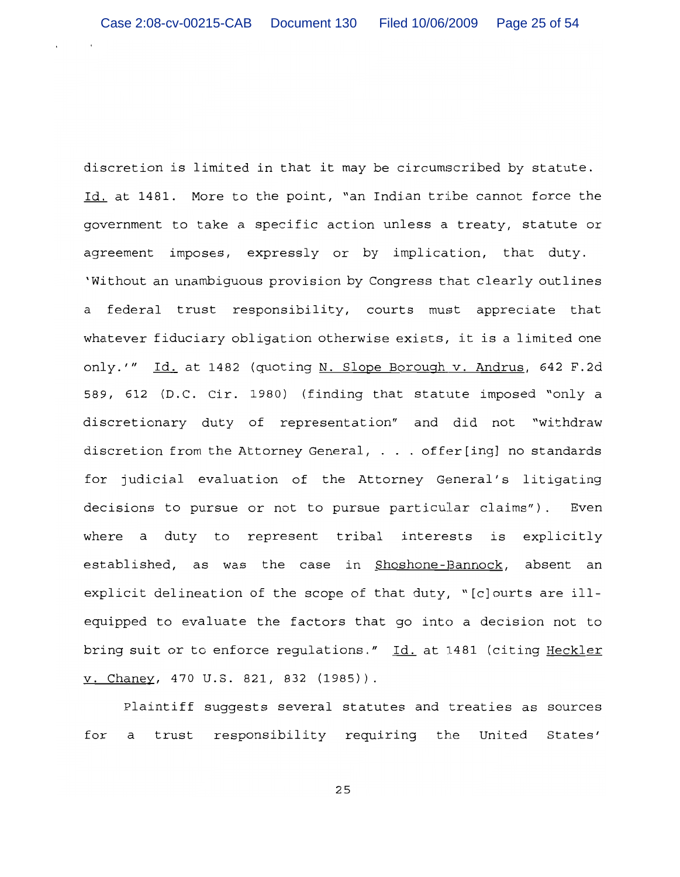discretion is limited in that it may be circumscribed by statute. Id. at 1481. More to the point, "an Indian tribe cannot force the government to take a specific action unless a treaty, statute or agreement imposes, expressly or by implication, that duty. 'Without an unambiguous provision by Congress that clearly outlines a federal trust responsibility, courts must appreciate that whatever fiduciary obligation otherwise exists, it is a limited one only.'" Id. at 1482 (quoting N. Slope Borough v. Andrus, 642 F.2d 589, 612 (D.C. Cir. 1980) (finding that statute imposed "only a discretionary duty of representation" and did not "withdraw discretion from the Attorney General, . . . offer[inq] no standards for judicial evaluation of the Attorney General's litigating decisions to pursue or not to pursue particular claims"). Even where a duty to represent tribal interests is explicitly established, as was the case in Shoshone-Bannock, absent an explicit delineation of the scope of that duty, "[c]ourts are illequipped to evaluate the factors that go into a decision not to bring suit or to enforce regulations." Id. at 1481 (citing Heckler v. Chaney, 470 U.S. 821, 832 (1985)).

Plaintiff suggests several statutes and treaties as sources for a trust responsibility requiring the United States'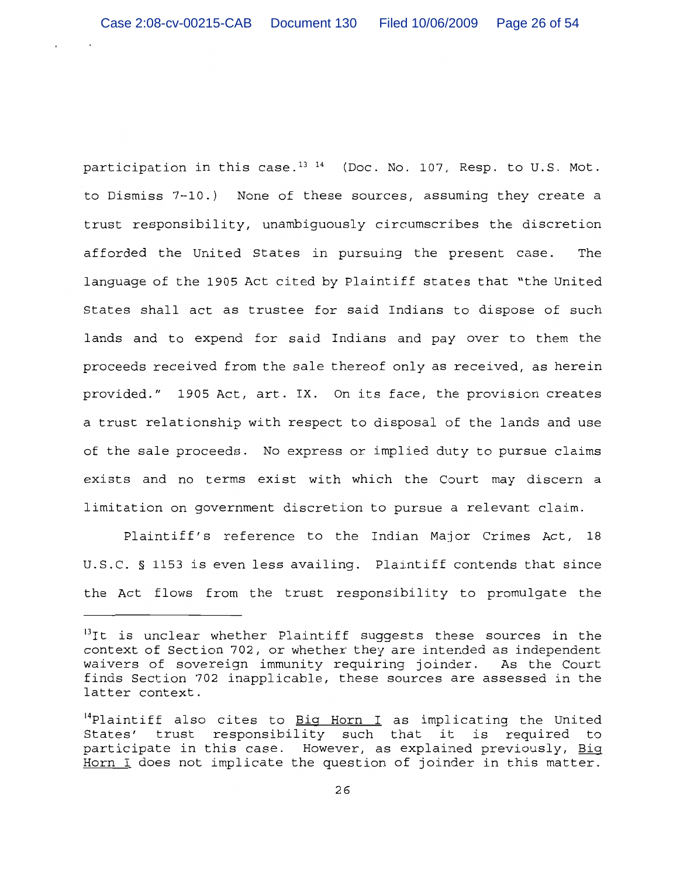participation in this case.<sup>13 14</sup> (Doc. No. 107, Resp. to U.S. Mot. to Dismiss 7-10.) None of these sources, assuming they create a trust responsibility, unambiquously circumscribes the discretion afforded the United States in pursuing the present case. The language of the 1905 Act cited by Plaintiff states that "the United States shall act as trustee for said Indians to dispose of such lands and to expend for said Indians and pay over to them the proceeds received from the sale thereof only as received, as herein provided." 1905 Act, art. IX. On its face, the provision creates a trust relationship with respect to disposal of the lands and use of the sale proceeds. No express or implied duty to pursue claims exists and no terms exist with which the Court may discern a limitation on government discretion to pursue a relevant claim.

Plaintiff's reference to the Indian Major Crimes Act, 18 U.S.C. § 1153 is even less availing. Plaintiff contends that since the Act flows from the trust responsibility to promulgate the

<sup>&</sup>lt;sup>13</sup>It is unclear whether Plaintiff suggests these sources in the context of Section 702, or whether they are intended as independent waivers of sovereign immunity requiring joinder. As the Court finds Section 702 inapplicable, these sources are assessed in the latter context.

<sup>&</sup>lt;sup>14</sup>Plaintiff also cites to Big Horn I as implicating the United States' trust responsibility such that it is required to participate in this case. However, as explained previously, Big Horn I does not implicate the question of joinder in this matter.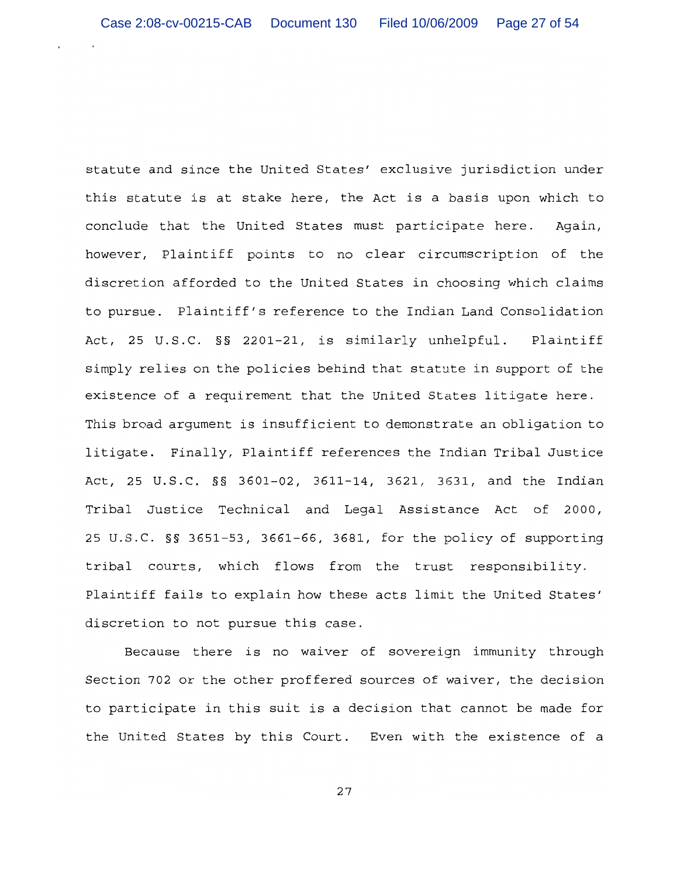statute and since the United States' exclusive jurisdiction under this statute is at stake here, the Act is a basis upon which to conclude that the United States must participate here. Again, however, Plaintiff points to no clear circumscription of the discretion afforded to the United States in choosing which claims to pursue. Plaintiff's reference to the Indian Land Consolidation Act, 25 U.S.C. §§ 2201-21, is similarly unhelpful. Plaintiff simply relies on the policies behind that statute in support of the existence of a requirement that the United States litigate here. This broad argument is insufficient to demonstrate an obligation to litigate. Finally, Plaintiff references the Indian Tribal Justice Act, 25 U.S.C. §§ 3601-02, 3611-14, 3621, 3631, and the Indian Tribal Justice Technical and Legal Assistance Act of 2000, 25 U.S.C. §§ 3651-53, 3661-66, 3681, for the policy of supporting tribal courts, which flows from the trust responsibility. Plaintiff fails to explain how these acts limit the United States' discretion to not pursue this case.

Because there is no waiver of sovereign immunity through Section 702 or the other proffered sources of waiver, the decision to participate in this suit is a decision that cannot be made for the United States by this Court. Even with the existence of a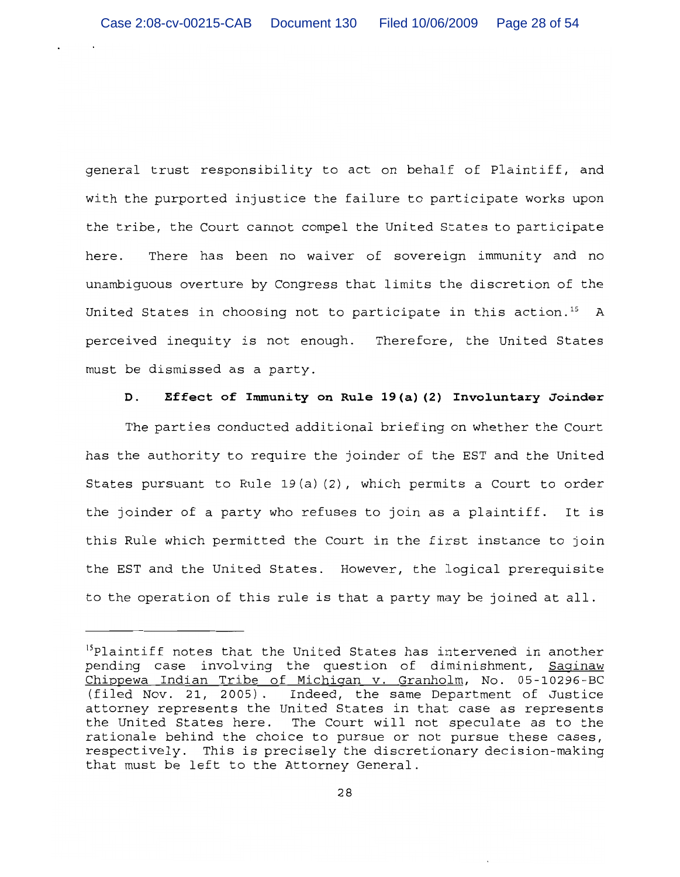general trust responsibility to act on behalf of Plaintiff, and with the purported injustice the failure to participate works upon the tribe, the Court cannot compel the United States to participate There has been no waiver of sovereign immunity and no here. unambiguous overture by Congress that limits the discretion of the United States in choosing not to participate in this action.<sup>15</sup> A perceived inequity is not enough. Therefore, the United States must be dismissed as a party.

#### D. Effect of Immunity on Rule 19(a)(2) Involuntary Joinder

The parties conducted additional briefing on whether the Court has the authority to require the joinder of the EST and the United States pursuant to Rule 19(a)(2), which permits a Court to order the joinder of a party who refuses to join as a plaintiff. It is this Rule which permitted the Court in the first instance to join the EST and the United States. However, the logical prerequisite to the operation of this rule is that a party may be joined at all.

<sup>&</sup>lt;sup>15</sup>Plaintiff notes that the United States has intervened in another pending case involving the question of diminishment, Saqinaw Chippewa Indian Tribe of Michigan v. Granholm, No. 05-10296-BC (filed Nov. 21, 2005). Indeed, the same Department of Justice attorney represents the United States in that case as represents the United States here. The Court will not speculate as to the rationale behind the choice to pursue or not pursue these cases, respectively. This is precisely the discretionary decision-making that must be left to the Attorney General.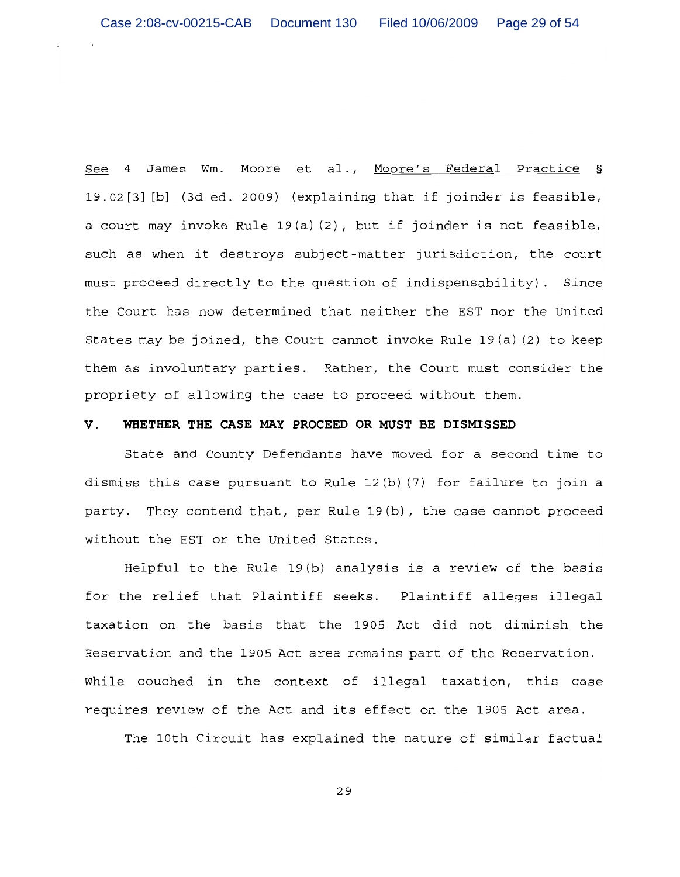See 4 James Wm. Moore et al., Moore's Federal Practice § 19.02[3] [b] (3d ed. 2009) (explaining that if joinder is feasible, a court may invoke Rule 19(a)(2), but if joinder is not feasible, such as when it destroys subject-matter jurisdiction, the court must proceed directly to the question of indispensability). Since the Court has now determined that neither the EST nor the United States may be joined, the Court cannot invoke Rule  $19(a)(2)$  to keep them as involuntary parties. Rather, the Court must consider the propriety of allowing the case to proceed without them.

## WHETHER THE CASE MAY PROCEED OR MUST BE DISMISSED  $V_{\perp}$

State and County Defendants have moved for a second time to dismiss this case pursuant to Rule 12(b) (7) for failure to join a party. They contend that, per Rule 19(b), the case cannot proceed without the EST or the United States.

Helpful to the Rule  $19(b)$  analysis is a review of the basis for the relief that Plaintiff seeks. Plaintiff alleges illegal taxation on the basis that the 1905 Act did not diminish the Reservation and the 1905 Act area remains part of the Reservation. While couched in the context of illegal taxation, this case requires review of the Act and its effect on the 1905 Act area.

The 10th Circuit has explained the nature of similar factual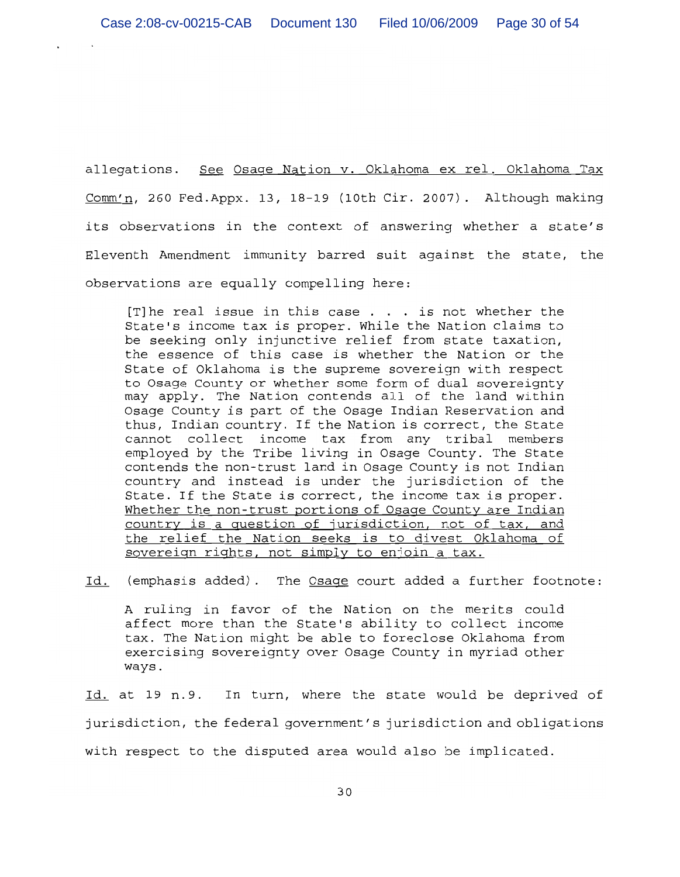allegations. See Osage Nation v. Oklahoma ex rel. Oklahoma Tax Comm'n, 260 Fed.Appx. 13, 18-19 (10th Cir. 2007). Although making its observations in the context of answering whether a state's Eleventh Amendment immunity barred suit against the state, the observations are equally compelling here:

[T] he real issue in this case  $\ldots$  is not whether the State's income tax is proper. While the Nation claims to be seeking only injunctive relief from state taxation, the essence of this case is whether the Nation or the State of Oklahoma is the supreme sovereign with respect to Osage County or whether some form of dual sovereignty may apply. The Nation contends all of the land within Osage County is part of the Osage Indian Reservation and thus, Indian country. If the Nation is correct, the State cannot collect income tax from any tribal members employed by the Tribe living in Osage County. The State contends the non-trust land in Osage County is not Indian country and instead is under the jurisdiction of the State. If the State is correct, the income tax is proper. Whether the non-trust portions of Osage County are Indian country is a question of jurisdiction, not of tax, and the relief the Nation seeks is to divest Oklahoma of sovereign rights, not simply to enjoin a tax.

Id. (emphasis added). The Osaqe court added a further footnote:

A ruling in favor of the Nation on the merits could affect more than the State's ability to collect income tax. The Nation might be able to foreclose Oklahoma from exercising sovereignty over Osage County in myriad other ways.

Id. at 19 n.9. In turn, where the state would be deprived of jurisdiction, the federal government's jurisdiction and obligations with respect to the disputed area would also be implicated.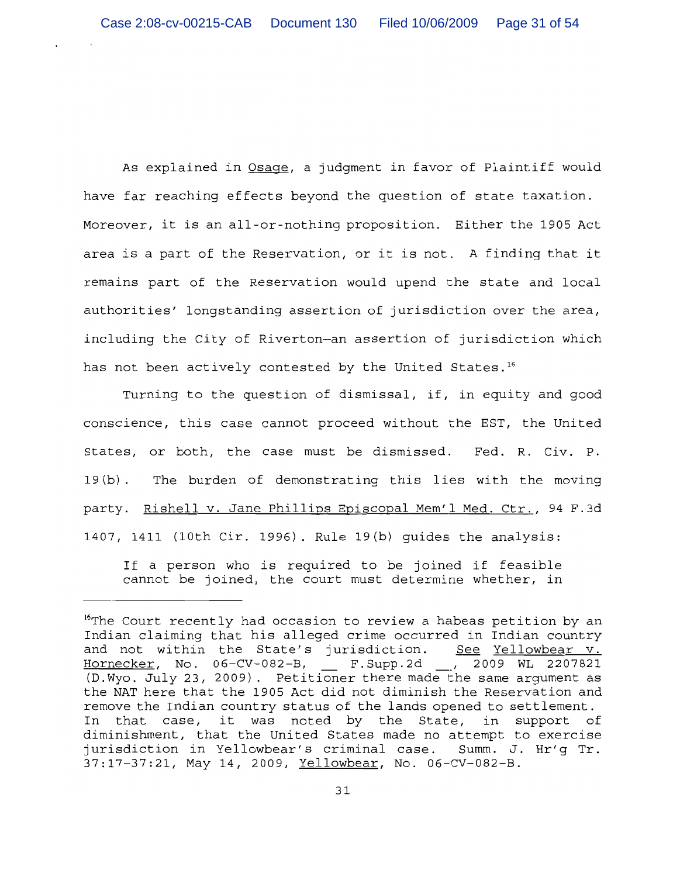As explained in Osage, a judgment in favor of Plaintiff would have far reaching effects beyond the question of state taxation. Moreover, it is an all-or-nothing proposition. Either the 1905 Act area is a part of the Reservation, or it is not. A finding that it remains part of the Reservation would upend the state and local authorities' longstanding assertion of jurisdiction over the area, including the City of Riverton-an assertion of jurisdiction which has not been actively contested by the United States.<sup>16</sup>

Turning to the question of dismissal, if, in equity and good conscience, this case cannot proceed without the EST, the United States, or both, the case must be dismissed. Fed. R. Civ. P. 19(b). The burden of demonstrating this lies with the moving party. Rishell v. Jane Phillips Episcopal Mem'l Med. Ctr., 94 F.3d 1407, 1411 (10th Cir. 1996). Rule 19(b) quides the analysis:

If a person who is required to be joined if feasible cannot be joined, the court must determine whether, in

<sup>&</sup>lt;sup>16</sup>The Court recently had occasion to review a habeas petition by an Indian claiming that his alleged crime occurred in Indian country and not within the State's jurisdiction. <u>See Yellowbear v.</u> Hornecker, No. 06-CV-082-B, \_ F.Supp.2d \_, 2009 WL 2207821 (D. Wyo. July 23, 2009). Petitioner there made the same argument as the NAT here that the 1905 Act did not diminish the Reservation and remove the Indian country status of the lands opened to settlement. In that case, it was noted by the State, in support of diminishment, that the United States made no attempt to exercise jurisdiction in Yellowbear's criminal case. Summ. J. Hr'g Tr. 37:17-37:21, May 14, 2009, Yellowbear, No. 06-CV-082-B.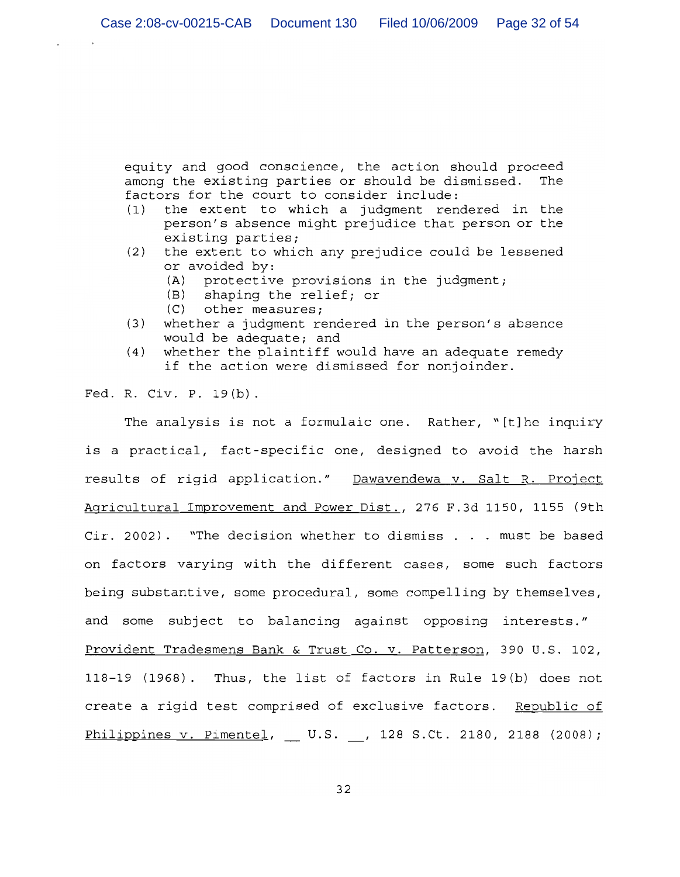equity and good conscience, the action should proceed among the existing parties or should be dismissed. The factors for the court to consider include:

- the extent to which a judgment rendered in the  $(1)$ person's absence might prejudice that person or the existing parties;
- the extent to which any prejudice could be lessened  $(2)$ or avoided by:
	- protective provisions in the judgment;  $(A)$
	- (B) shaping the relief; or
	- $(C)$  other measures;
- whether a judgment rendered in the person's absence  $(3)$ would be adequate; and
- whether the plaintiff would have an adequate remedy  $(4)$ if the action were dismissed for nonjoinder.

Fed. R. Civ. P. 19(b).

The analysis is not a formulaic one. Rather, "[t]he inquiry is a practical, fact-specific one, designed to avoid the harsh results of rigid application." Dawavendewa v. Salt R. Project Agricultural Improvement and Power Dist., 276 F.3d 1150, 1155 (9th Cir. 2002). "The decision whether to dismiss . . . must be based on factors varying with the different cases, some such factors being substantive, some procedural, some compelling by themselves, and some subject to balancing against opposing interests." Provident Tradesmens Bank & Trust Co. v. Patterson, 390 U.S. 102, 118-19 (1968). Thus, the list of factors in Rule 19(b) does not create a rigid test comprised of exclusive factors. Republic of Philippines v. Pimentel, U.S. , 128 S.Ct. 2180, 2188 (2008);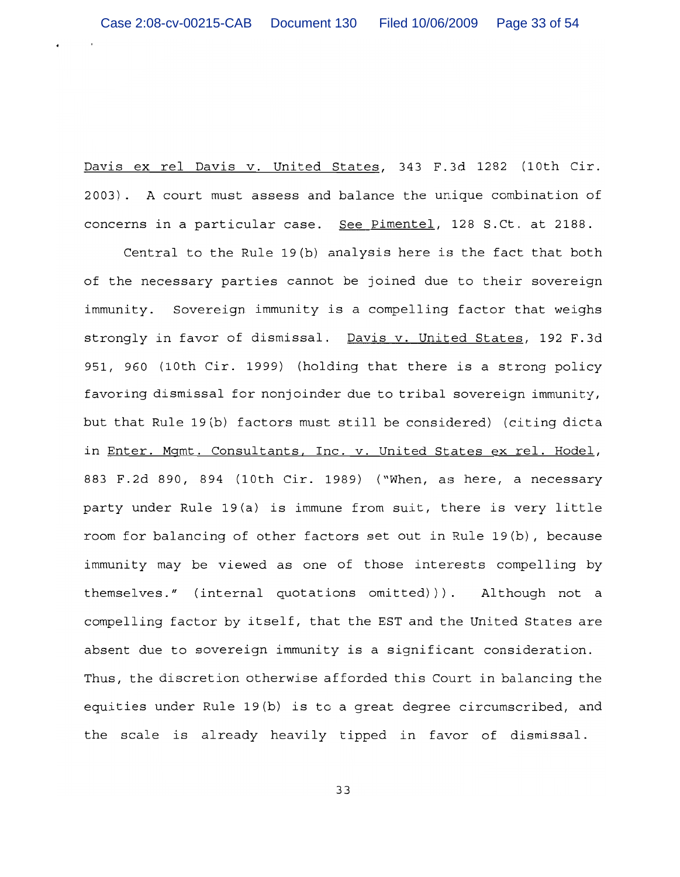Davis ex rel Davis v. United States, 343 F.3d 1282 (10th Cir. 2003). A court must assess and balance the unique combination of concerns in a particular case. See Pimentel, 128 S.Ct. at 2188.

Central to the Rule 19(b) analysis here is the fact that both of the necessary parties cannot be joined due to their sovereign immunity. Sovereign immunity is a compelling factor that weighs strongly in favor of dismissal. Davis v. United States, 192 F.3d 951, 960 (10th Cir. 1999) (holding that there is a strong policy favoring dismissal for nonjoinder due to tribal sovereign immunity, but that Rule 19(b) factors must still be considered) (citing dicta in Enter. Mgmt. Consultants, Inc. v. United States ex rel. Hodel, 883 F.2d 890, 894 (10th Cir. 1989) ("When, as here, a necessary party under Rule 19(a) is immune from suit, there is very little room for balancing of other factors set out in Rule 19(b), because immunity may be viewed as one of those interests compelling by themselves." (internal quotations omitted))). Although not a compelling factor by itself, that the EST and the United States are absent due to sovereign immunity is a significant consideration. Thus, the discretion otherwise afforded this Court in balancing the equities under Rule 19(b) is to a great degree circumscribed, and the scale is already heavily tipped in favor of dismissal.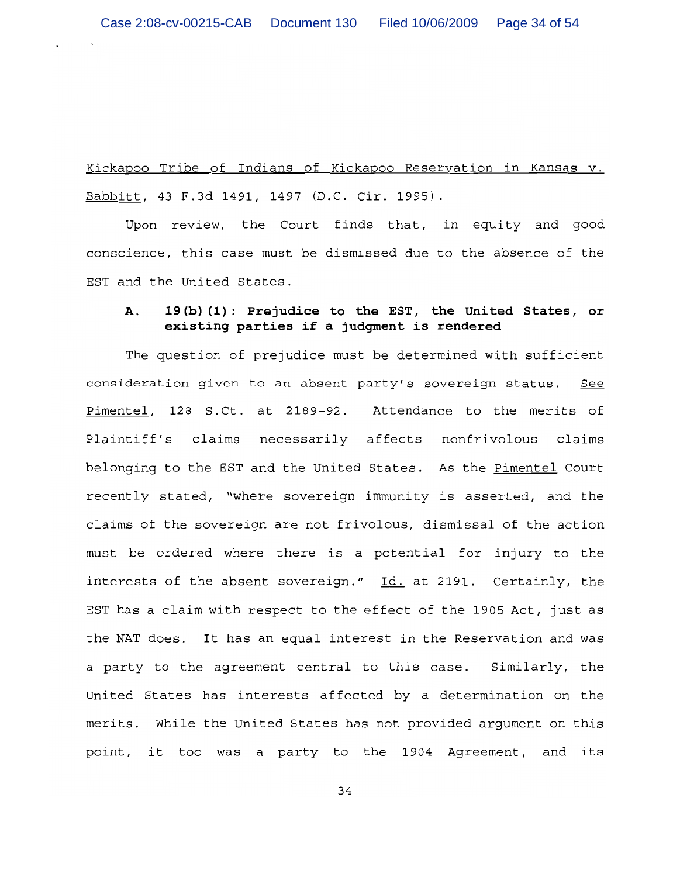Kickapoo Tribe of Indians of Kickapoo Reservation in Kansas v. Babbitt, 43 F.3d 1491, 1497 (D.C. Cir. 1995).

Upon review, the Court finds that, in equity and good conscience, this case must be dismissed due to the absence of the EST and the United States.

## 19(b)(1): Prejudice to the EST, the United States, or  $\mathbf{A}$ . existing parties if a judgment is rendered

The question of prejudice must be determined with sufficient consideration given to an absent party's sovereign status. See Pimentel, 128 S.Ct. at 2189-92. Attendance to the merits of Plaintiff's claims necessarily affects nonfrivolous claims belonging to the EST and the United States. As the Pimentel Court recently stated, "where sovereign immunity is asserted, and the claims of the sovereign are not frivolous, dismissal of the action must be ordered where there is a potential for injury to the interests of the absent sovereign." Id. at 2191. Certainly, the EST has a claim with respect to the effect of the 1905 Act, just as the NAT does. It has an equal interest in the Reservation and was a party to the agreement central to this case. Similarly, the United States has interests affected by a determination on the merits. While the United States has not provided argument on this point, it too was a party to the 1904 Agreement, and its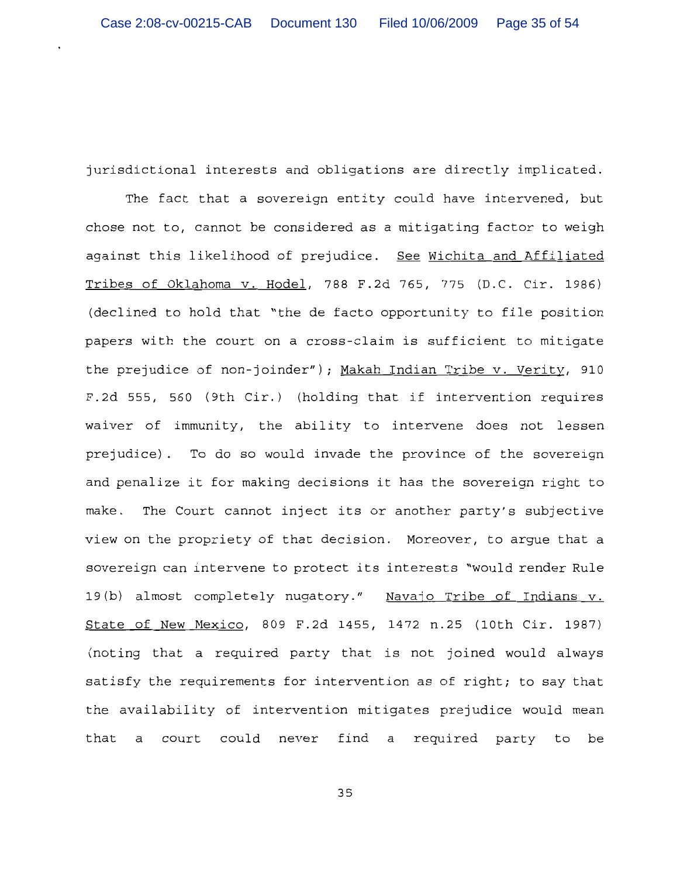jurisdictional interests and obligations are directly implicated.

The fact that a sovereign entity could have intervened, but chose not to, cannot be considered as a mitigating factor to weigh against this likelihood of prejudice. See Wichita and Affiliated Tribes of Oklahoma v. Hodel, 788 F.2d 765, 775 (D.C. Cir. 1986) (declined to hold that "the de facto opportunity to file position papers with the court on a cross-claim is sufficient to mitigate the prejudice of non-joinder"); Makah Indian Tribe v. Verity, 910 F.2d 555, 560 (9th Cir.) (holding that if intervention requires waiver of immunity, the ability to intervene does not lessen prejudice). To do so would invade the province of the sovereign and penalize it for making decisions it has the sovereign right to make. The Court cannot inject its or another party's subjective view on the propriety of that decision. Moreover, to argue that a sovereign can intervene to protect its interests "would render Rule 19(b) almost completely nugatory." Navajo Tribe of Indians v. State of New Mexico, 809 F.2d 1455, 1472 n.25 (10th Cir. 1987) (noting that a required party that is not joined would always satisfy the requirements for intervention as of right; to say that the availability of intervention mitigates prejudice would mean court could never find a required party to that a be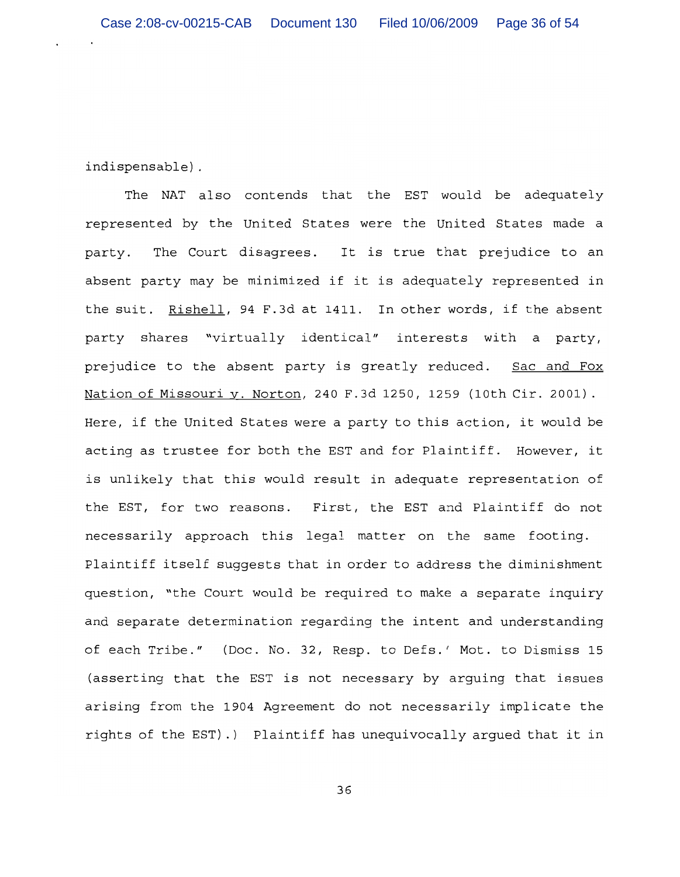indispensable).

The NAT also contends that the EST would be adequately represented by the United States were the United States made a The Court disagrees. It is true that prejudice to an party. absent party may be minimized if it is adequately represented in the suit. Rishell, 94 F.3d at 1411. In other words, if the absent party shares "virtually identical" interests with a party, prejudice to the absent party is greatly reduced. Sac and Fox Nation of Missouri v. Norton, 240 F.3d 1250, 1259 (10th Cir. 2001). Here, if the United States were a party to this action, it would be acting as trustee for both the EST and for Plaintiff. However, it is unlikely that this would result in adequate representation of the EST, for two reasons. First, the EST and Plaintiff do not necessarily approach this legal matter on the same footing. Plaintiff itself suggests that in order to address the diminishment question, "the Court would be required to make a separate inquiry and separate determination regarding the intent and understanding of each Tribe." (Doc. No. 32, Resp. to Defs.' Mot. to Dismiss 15 (asserting that the EST is not necessary by arguing that issues arising from the 1904 Agreement do not necessarily implicate the rights of the EST).) Plaintiff has unequivocally argued that it in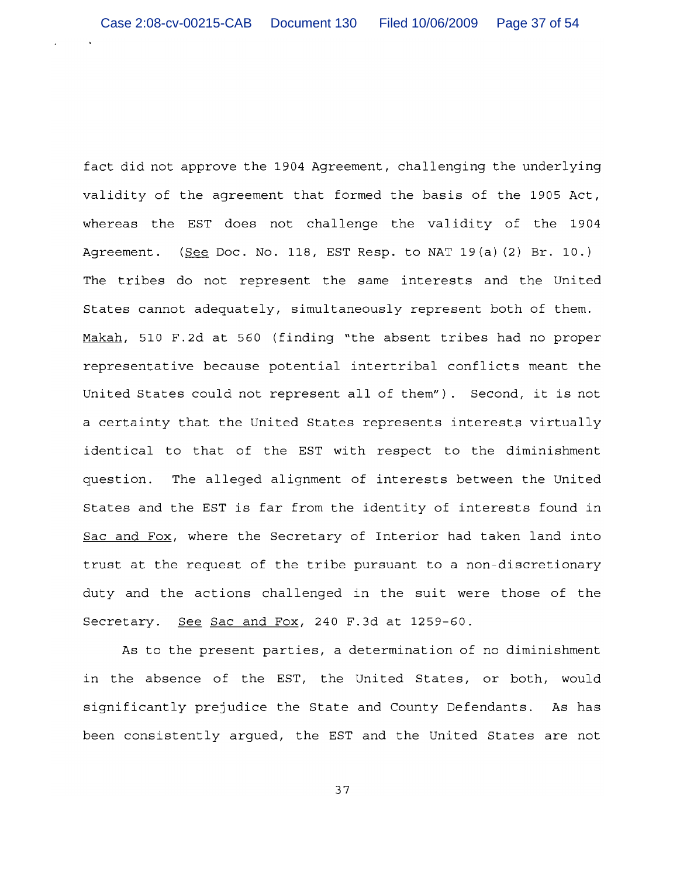fact did not approve the 1904 Agreement, challenging the underlying validity of the agreement that formed the basis of the 1905 Act, whereas the EST does not challenge the validity of the 1904 Agreement. (See Doc. No. 118, EST Resp. to NAT 19(a) (2) Br. 10.) The tribes do not represent the same interests and the United States cannot adequately, simultaneously represent both of them. Makah, 510 F.2d at 560 (finding "the absent tribes had no proper representative because potential intertribal conflicts meant the United States could not represent all of them"). Second, it is not a certainty that the United States represents interests virtually identical to that of the EST with respect to the diminishment The alleged alignment of interests between the United question. States and the EST is far from the identity of interests found in Sac and Fox, where the Secretary of Interior had taken land into trust at the request of the tribe pursuant to a non-discretionary duty and the actions challenged in the suit were those of the Secretary. See Sac and Fox, 240 F.3d at 1259-60.

As to the present parties, a determination of no diminishment in the absence of the EST, the United States, or both, would significantly prejudice the State and County Defendants. As has been consistently argued, the EST and the United States are not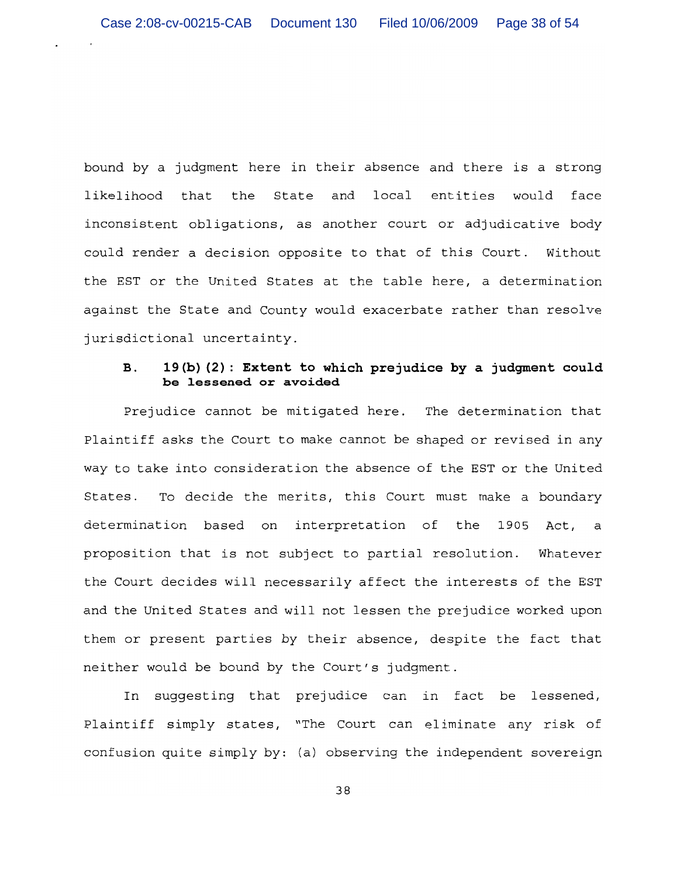bound by a judgment here in their absence and there is a strong likelihood that the State and local entities would face inconsistent obligations, as another court or adjudicative body could render a decision opposite to that of this Court. Without the EST or the United States at the table here, a determination against the State and County would exacerbate rather than resolve jurisdictional uncertainty.

## 19(b) (2): Extent to which prejudice by a judgment could **B.** be lessened or avoided

Prejudice cannot be mitigated here. The determination that Plaintiff asks the Court to make cannot be shaped or revised in any way to take into consideration the absence of the EST or the United To decide the merits, this Court must make a boundary States. determination based on interpretation of the 1905 Act, a proposition that is not subject to partial resolution. Whatever the Court decides will necessarily affect the interests of the EST and the United States and will not lessen the prejudice worked upon them or present parties by their absence, despite the fact that neither would be bound by the Court's judgment.

In suggesting that prejudice can in fact be lessened, Plaintiff simply states, "The Court can eliminate any risk of confusion quite simply by: (a) observing the independent sovereign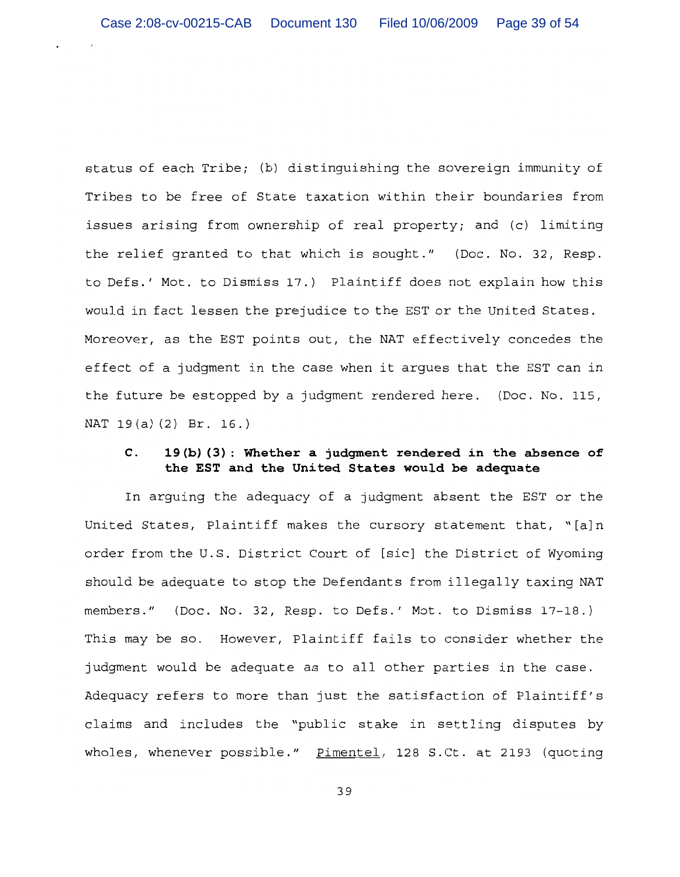status of each Tribe; (b) distinguishing the sovereign immunity of Tribes to be free of State taxation within their boundaries from issues arising from ownership of real property; and (c) limiting the relief granted to that which is sought." (Doc. No. 32, Resp. to Defs.' Mot. to Dismiss 17.) Plaintiff does not explain how this would in fact lessen the prejudice to the EST or the United States. Moreover, as the EST points out, the NAT effectively concedes the effect of a judgment in the case when it argues that the EST can in the future be estopped by a judgment rendered here. (Doc. No. 115, NAT 19(a)(2) Br. 16.)

## $\mathbf{C}$ . 19(b)(3): Whether a judgment rendered in the absence of the EST and the United States would be adequate

In arguing the adequacy of a judgment absent the EST or the United States, Plaintiff makes the cursory statement that, "[a]n order from the U.S. District Court of [sic] the District of Wyoming should be adequate to stop the Defendants from illegally taxing NAT members." (Doc. No. 32, Resp. to Defs.' Mot. to Dismiss 17-18.) This may be so. However, Plaintiff fails to consider whether the judgment would be adequate as to all other parties in the case. Adequacy refers to more than just the satisfaction of Plaintiff's claims and includes the "public stake in settling disputes by wholes, whenever possible." Pimentel, 128 S.Ct. at 2193 (quoting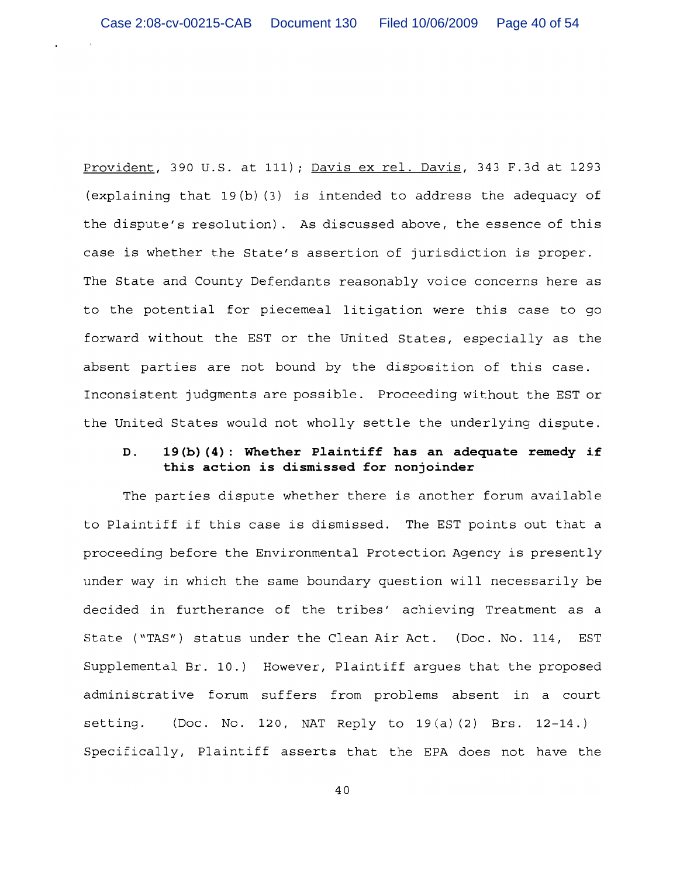Provident, 390 U.S. at 111); Davis ex rel. Davis, 343 F.3d at 1293 (explaining that  $19(b)$  (3) is intended to address the adequacy of the dispute's resolution). As discussed above, the essence of this case is whether the State's assertion of jurisdiction is proper. The State and County Defendants reasonably voice concerns here as to the potential for piecemeal litigation were this case to go forward without the EST or the United States, especially as the absent parties are not bound by the disposition of this case. Inconsistent judgments are possible. Proceeding without the EST or the United States would not wholly settle the underlying dispute.

## 19(b)(4): Whether Plaintiff has an adequate remedy if  $D.$ this action is dismissed for nonjoinder

The parties dispute whether there is another forum available to Plaintiff if this case is dismissed. The EST points out that a proceeding before the Environmental Protection Agency is presently under way in which the same boundary question will necessarily be decided in furtherance of the tribes' achieving Treatment as a State ("TAS") status under the Clean Air Act. (Doc. No. 114, EST Supplemental Br. 10.) However, Plaintiff arques that the proposed administrative forum suffers from problems absent in a court setting. (Doc. No. 120, NAT Reply to 19(a)(2) Brs. 12-14.) Specifically, Plaintiff asserts that the EPA does not have the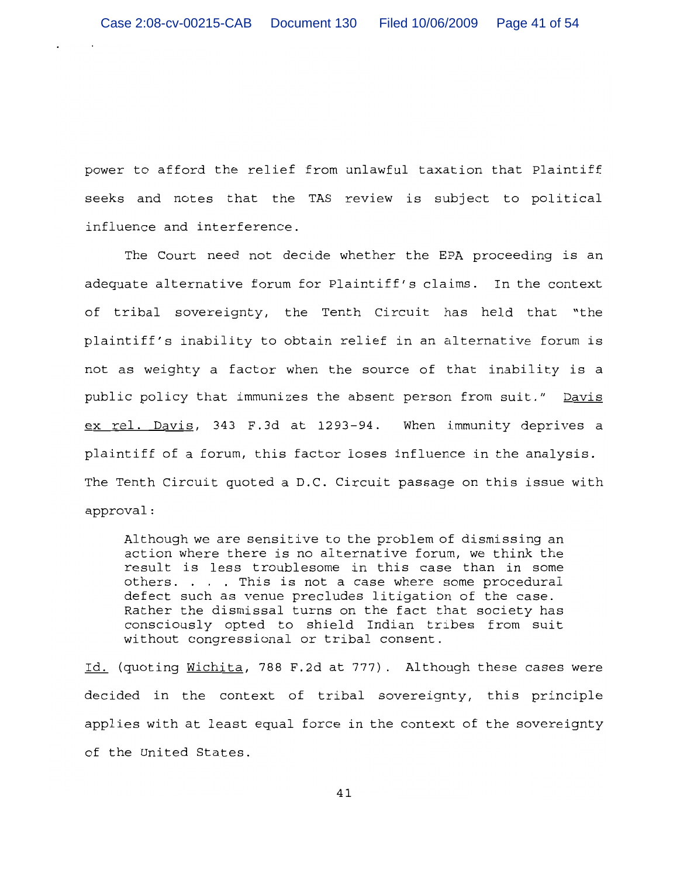power to afford the relief from unlawful taxation that Plaintiff seeks and notes that the TAS review is subject to political influence and interference.

The Court need not decide whether the EPA proceeding is an adequate alternative forum for Plaintiff's claims. In the context of tribal sovereignty, the Tenth Circuit has held that "the plaintiff's inability to obtain relief in an alternative forum is not as weighty a factor when the source of that inability is a public policy that immunizes the absent person from suit." Davis ex rel. Davis, 343 F.3d at 1293-94. When immunity deprives a plaintiff of a forum, this factor loses influence in the analysis. The Tenth Circuit quoted a D.C. Circuit passage on this issue with approval:

Although we are sensitive to the problem of dismissing an action where there is no alternative forum, we think the result is less troublesome in this case than in some others. . . . This is not a case where some procedural defect such as venue precludes litigation of the case. Rather the dismissal turns on the fact that society has consciously opted to shield Indian tribes from suit without congressional or tribal consent.

Id. (quoting Wichita, 788 F.2d at 777). Although these cases were decided in the context of tribal sovereignty, this principle applies with at least equal force in the context of the sovereignty of the United States.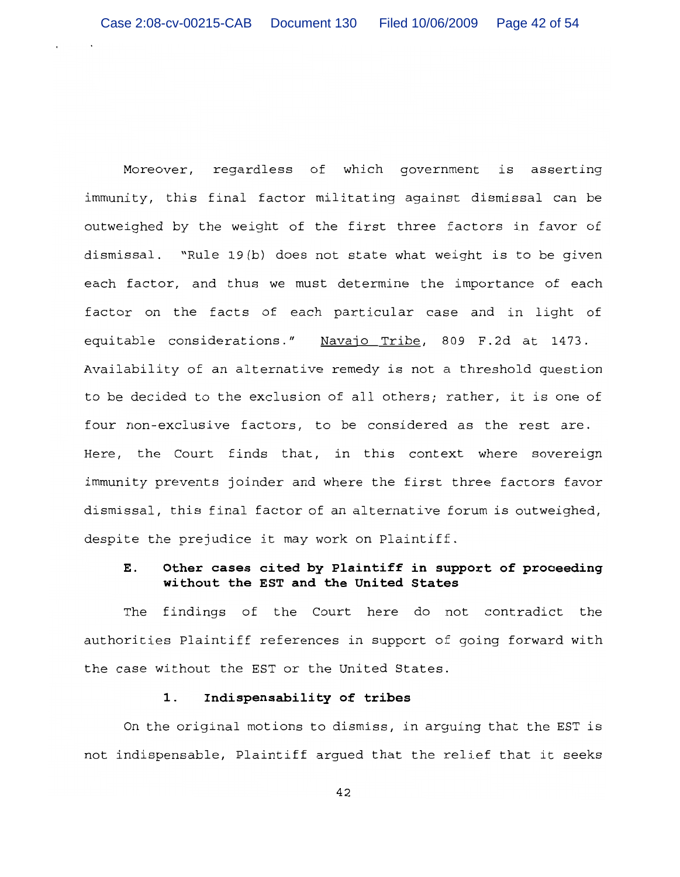Moreover, regardless of which government is asserting immunity, this final factor militating against dismissal can be outweighed by the weight of the first three factors in favor of dismissal. "Rule 19(b) does not state what weight is to be given each factor, and thus we must determine the importance of each factor on the facts of each particular case and in light of equitable considerations." Navajo Tribe, 809 F.2d at 1473. Availability of an alternative remedy is not a threshold question to be decided to the exclusion of all others; rather, it is one of four non-exclusive factors, to be considered as the rest are. Here, the Court finds that, in this context where sovereign immunity prevents joinder and where the first three factors favor dismissal, this final factor of an alternative forum is outweighed, despite the prejudice it may work on Plaintiff.

## Ε. Other cases cited by Plaintiff in support of proceeding without the EST and the United States

findings of the Court here do not contradict the The authorities Plaintiff references in support of going forward with the case without the EST or the United States.

### 1. Indispensability of tribes

On the original motions to dismiss, in arguing that the EST is not indispensable, Plaintiff argued that the relief that it seeks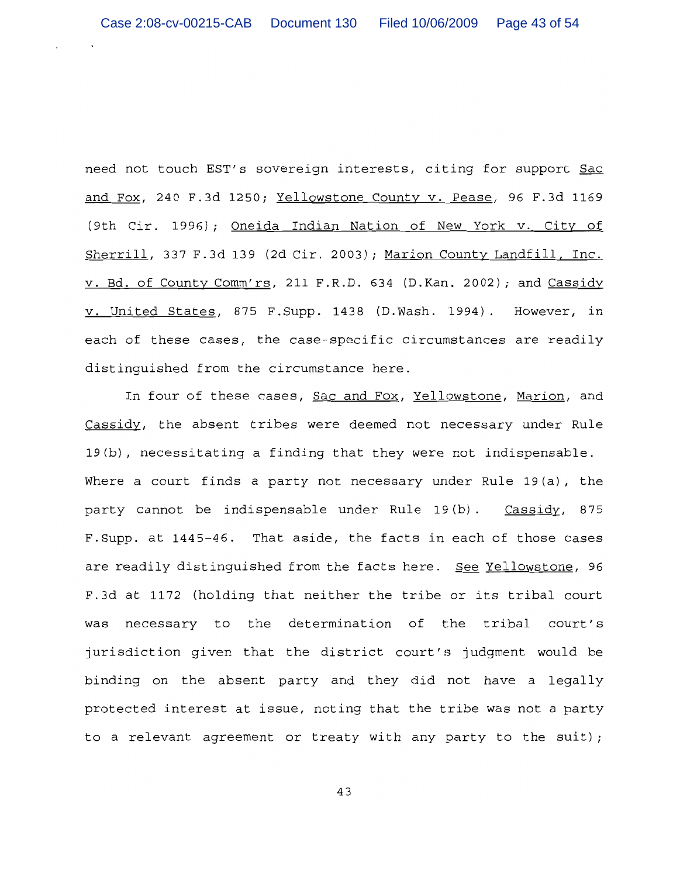need not touch EST's sovereign interests, citing for support Sac and Fox, 240 F.3d 1250; Yellowstone County v. Pease, 96 F.3d 1169 (9th Cir. 1996); Oneida Indian Nation of New York v. City of Sherrill, 337 F.3d 139 (2d Cir. 2003); Marion County Landfill, Inc. v. Bd. of County Comm'rs, 211 F.R.D. 634 (D.Kan. 2002); and Cassidy v. United States, 875 F. Supp. 1438 (D. Wash. 1994). However, in each of these cases, the case-specific circumstances are readily distinguished from the circumstance here.

In four of these cases, Sac and Fox, Yellowstone, Marion, and Cassidy, the absent tribes were deemed not necessary under Rule 19(b), necessitating a finding that they were not indispensable. Where a court finds a party not necessary under Rule  $19(a)$ , the party cannot be indispensable under Rule 19(b). Cassidy, 875 F. Supp. at 1445-46. That aside, the facts in each of those cases are readily distinguished from the facts here. See Yellowstone, 96 F.3d at 1172 (holding that neither the tribe or its tribal court was necessary to the determination of the tribal court's jurisdiction given that the district court's judgment would be binding on the absent party and they did not have a legally protected interest at issue, noting that the tribe was not a party to a relevant agreement or treaty with any party to the suit);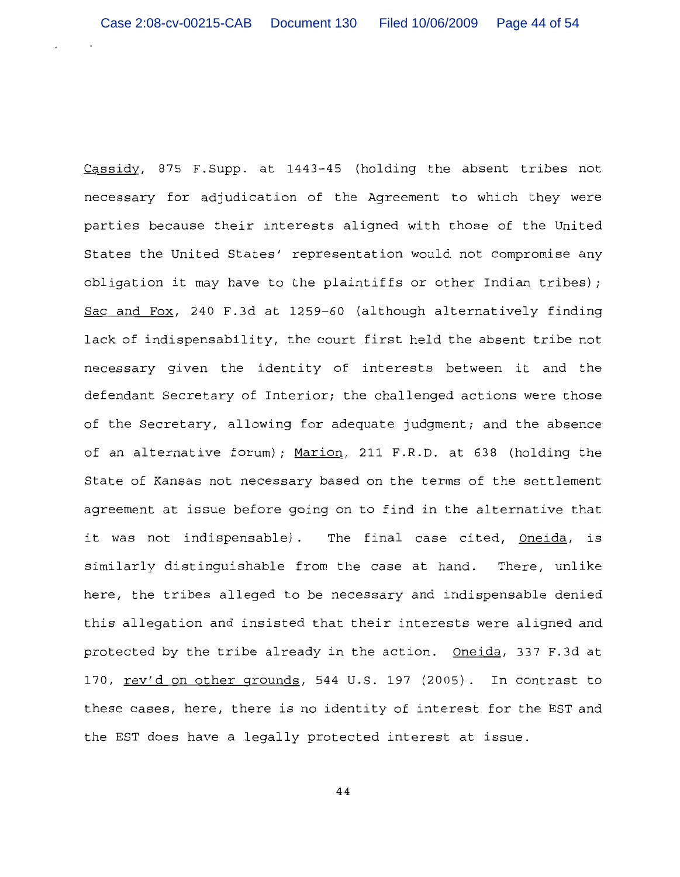Cassidy, 875 F. Supp. at 1443-45 (holding the absent tribes not necessary for adjudication of the Agreement to which they were parties because their interests aligned with those of the United States the United States' representation would not compromise any obligation it may have to the plaintiffs or other Indian tribes); Sac and Fox, 240 F.3d at 1259-60 (although alternatively finding lack of indispensability, the court first held the absent tribe not necessary given the identity of interests between it and the defendant Secretary of Interior; the challenged actions were those of the Secretary, allowing for adequate judgment; and the absence of an alternative forum); Marion, 211 F.R.D. at 638 (holding the State of Kansas not necessary based on the terms of the settlement agreement at issue before going on to find in the alternative that it was not indispensable). The final case cited, Oneida, is similarly distinguishable from the case at hand. There, unlike here, the tribes alleged to be necessary and indispensable denied this allegation and insisted that their interests were aligned and protected by the tribe already in the action. Oneida, 337 F.3d at 170, rev'd on other grounds, 544 U.S. 197 (2005). In contrast to these cases, here, there is no identity of interest for the EST and the EST does have a legally protected interest at issue.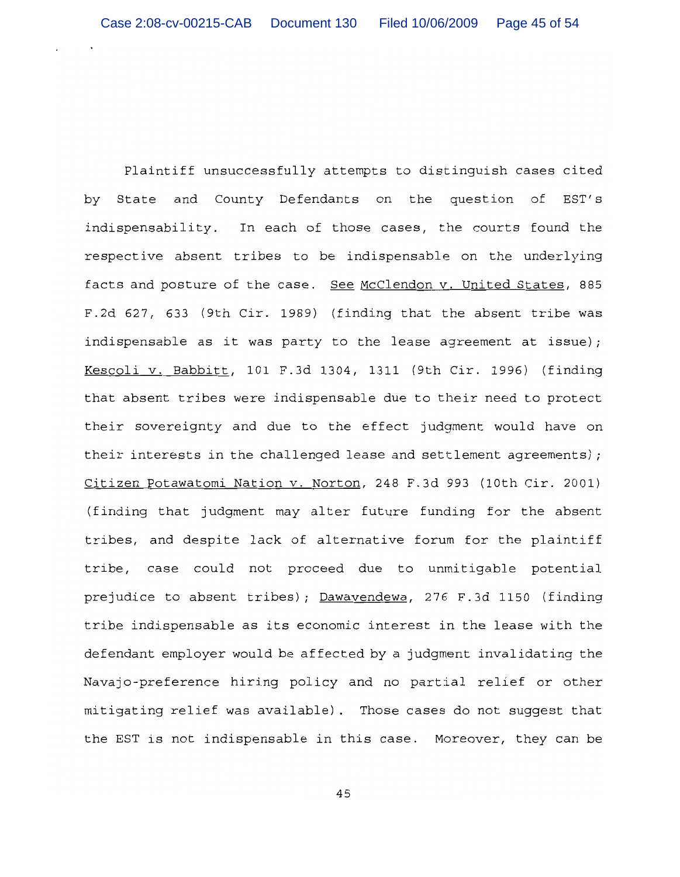Plaintiff unsuccessfully attempts to distinguish cases cited by State and County Defendants on the question of EST′s indispensability. In each of those cases, the courts found the respective absent tribes to be indispensable on the underlying facts and posture of the case. See McClendon v. United States, 885 F.2d 627, 633 (9th Cir. 1989) (finding that the absent tribe was indispensable as it was party to the lease agreement at issue); Kescoli v. Babbitt, 101 F.3d 1304, 1311 (9th Cir. 1996) (finding that absent tribes were indispensable due to their need to protect their sovereignty and due to the effect judgment would have on their interests in the challenged lease and settlement agreements); Citizen Potawatomi Nation v. Norton, 248 F.3d 993 (10th Cir. 2001) (finding that judgment may alter future funding for the absent tribes, and despite lack of alternative forum for the plaintiff tribe, case could not proceed due to unmitigable potential prejudice to absent tribes); Dawavendewa, 276 F.3d 1150 (finding tribe indispensable as its economic interest in the lease with the defendant employer would be affected by a judgment invalidating the Navajo-preference hiring policy and no partial relief or other mitigating relief was available). Those cases do not suggest that the EST is not indispensable in this case. Moreover, they can be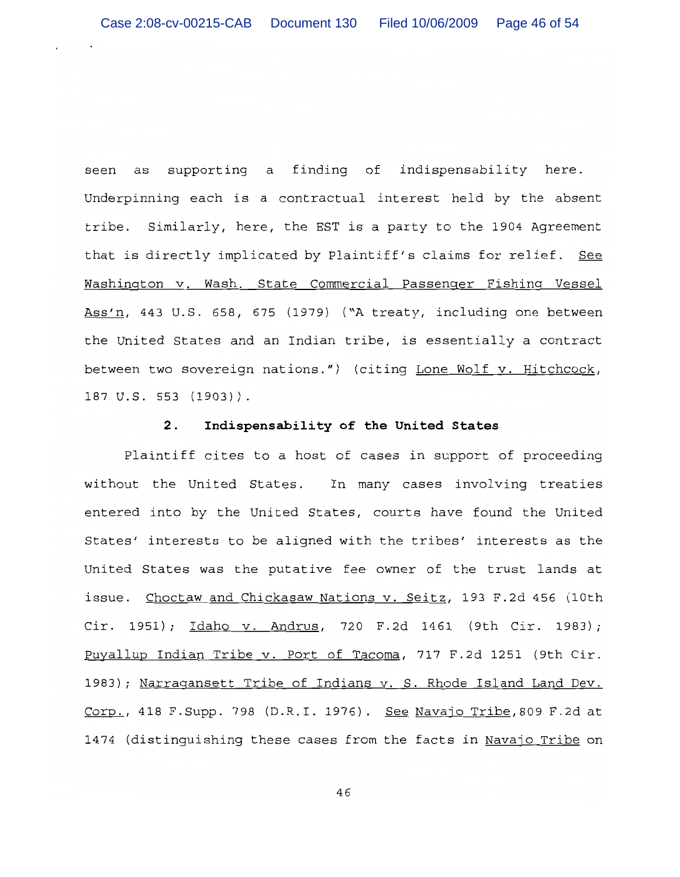seen as supporting a finding of indispensability here. Underpinning each is a contractual interest held by the absent tribe. Similarly, here, the EST is a party to the 1904 Agreement that is directly implicated by Plaintiff's claims for relief. See Washington v. Wash. State Commercial Passenger Fishing Vessel Ass'n, 443 U.S. 658, 675 (1979) ("A treaty, including one between the United States and an Indian tribe, is essentially a contract between two sovereign nations.") (citing Lone Wolf v. Hitchcock, 187 U.S. 553 (1903)).

#### Indispensability of the United States  $2.$

Plaintiff cites to a host of cases in support of proceeding without the United States. In many cases involving treaties entered into by the United States, courts have found the United States' interests to be aligned with the tribes' interests as the United States was the putative fee owner of the trust lands at issue. Choctaw and Chickasaw Nations v. Seitz, 193 F.2d 456 (10th Cir. 1951); Idaho v. Andrus, 720 F.2d 1461 (9th Cir. 1983); Puyallup Indian Tribe v. Port of Tacoma, 717 F.2d 1251 (9th Cir. 1983); Narragansett Tribe of Indians v. S. Rhode Island Land Dev. Corp., 418 F. Supp. 798 (D.R.I. 1976). See Navajo Tribe, 809 F.2d at 1474 (distinguishing these cases from the facts in Navajo Tribe on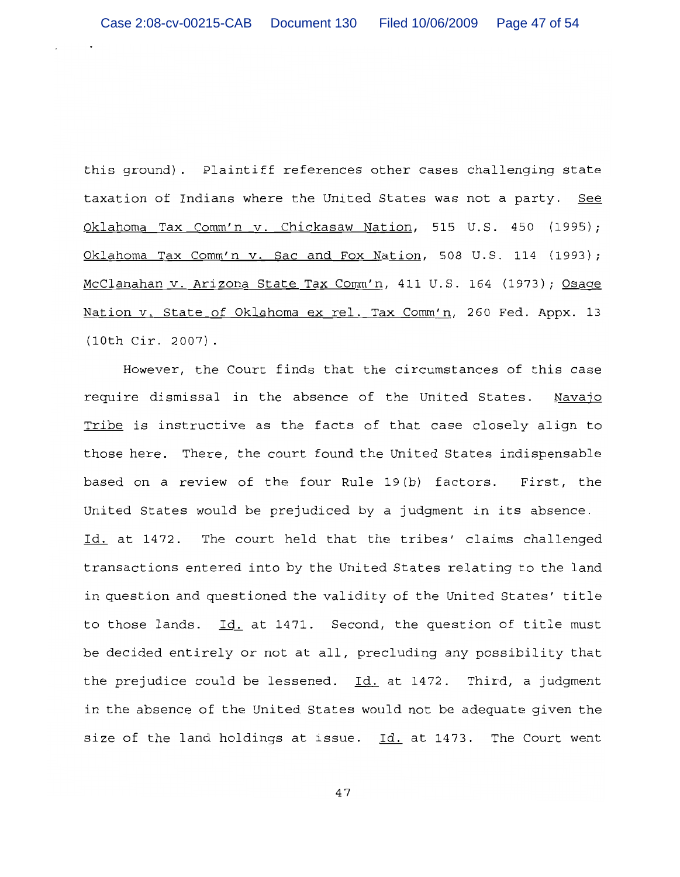this ground). Plaintiff references other cases challenging state taxation of Indians where the United States was not a party. See Oklahoma Tax Comm'n v. Chickasaw Nation, 515 U.S. 450 (1995); Oklahoma Tax Comm'n v. Sac and Fox Nation, 508 U.S. 114 (1993); McClanahan v. Arizona State Tax Comm'n, 411 U.S. 164 (1973); Osage Nation v. State of Oklahoma ex rel. Tax Comm'n, 260 Fed. Appx. 13  $(10th Cir. 2007)$ .

However, the Court finds that the circumstances of this case require dismissal in the absence of the United States. Navaio Tribe is instructive as the facts of that case closely align to those here. There, the court found the United States indispensable based on a review of the four Rule 19(b) factors. First, the United States would be prejudiced by a judgment in its absence. Id. at 1472. The court held that the tribes' claims challenged transactions entered into by the United States relating to the land in question and questioned the validity of the United States' title to those lands. Id. at 1471. Second, the question of title must be decided entirely or not at all, precluding any possibility that the prejudice could be lessened.  $Id.$  at 1472. Third, a judgment in the absence of the United States would not be adequate given the size of the land holdings at issue. Id. at 1473. The Court went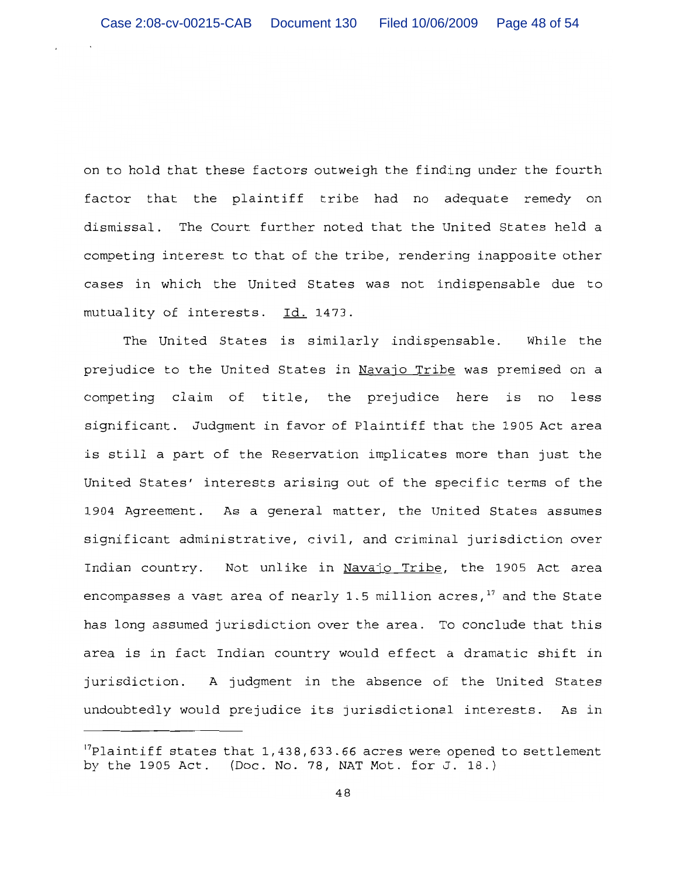on to hold that these factors outweigh the finding under the fourth factor that the plaintiff tribe had no adequate remedy on dismissal. The Court further noted that the United States held a competing interest to that of the tribe, rendering inapposite other cases in which the United States was not indispensable due to mutuality of interests. Id. 1473.

The United States is similarly indispensable. While the prejudice to the United States in Navajo Tribe was premised on a competing claim of title, the prejudice here is no less significant. Judgment in favor of Plaintiff that the 1905 Act area is still a part of the Reservation implicates more than just the United States' interests arising out of the specific terms of the 1904 Agreement. As a general matter, the United States assumes significant administrative, civil, and criminal jurisdiction over Indian country. Not unlike in Navajo Tribe, the 1905 Act area encompasses a vast area of nearly 1.5 million acres,  $17$  and the State has long assumed jurisdiction over the area. To conclude that this area is in fact Indian country would effect a dramatic shift in jurisdiction. A judgment in the absence of the United States undoubtedly would prejudice its jurisdictional interests. As in

<sup>&</sup>lt;sup>17</sup>Plaintiff states that 1,438,633.66 acres were opened to settlement by the 1905 Act. (Doc. No. 78, NAT Mot. for J. 18.)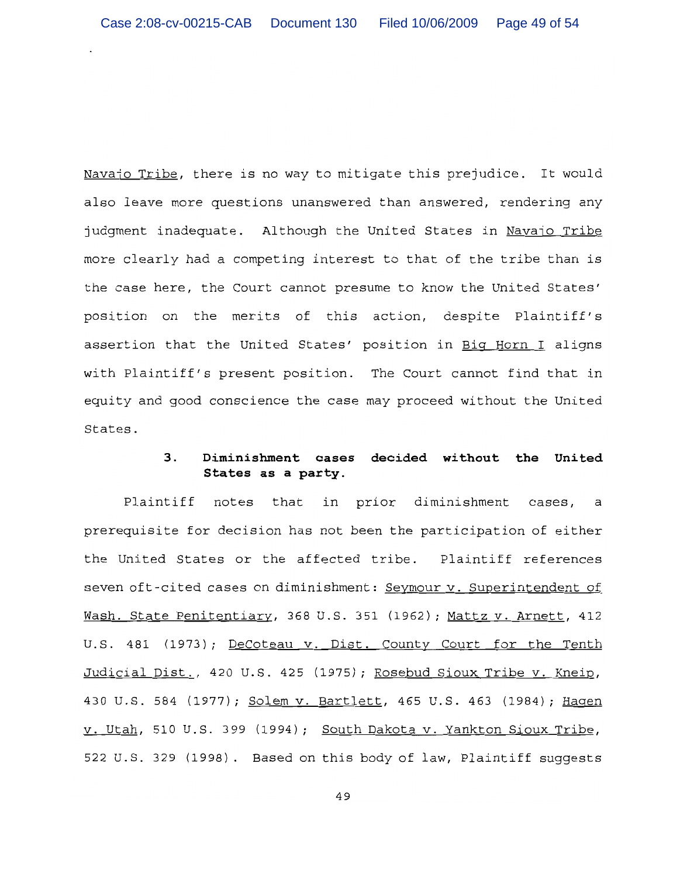Navajo Tribe, there is no way to mitigate this prejudice. It would also leave more questions unanswered than answered, rendering any judgment inadequate. Although the United States in Navajo Tribe more clearly had a competing interest to that of the tribe than is the case here, the Court cannot presume to know the United States' position on the merits of this action, despite Plaintiff's assertion that the United States' position in Big Horn I aligns with Plaintiff's present position. The Court cannot find that in equity and good conscience the case may proceed without the United States.

## $3.$ Diminishment cases decided without the United States as a party.

Plaintiff in prior diminishment notes that cases, a prerequisite for decision has not been the participation of either the United States or the affected tribe. Plaintiff references seven oft-cited cases on diminishment: Seymour v. Superintendent of Wash. State Penitentiary, 368 U.S. 351 (1962); Mattz v. Arnett, 412 U.S. 481 (1973); DeCoteau v. Dist. County Court for the Tenth Judicial Dist., 420 U.S. 425 (1975); Rosebud Sioux Tribe v. Kneip, 430 U.S. 584 (1977); Solem v. Bartlett, 465 U.S. 463 (1984); Hagen v. Utah, 510 U.S. 399 (1994); South Dakota v. Yankton Sioux Tribe, 522 U.S. 329 (1998). Based on this body of law, Plaintiff suggests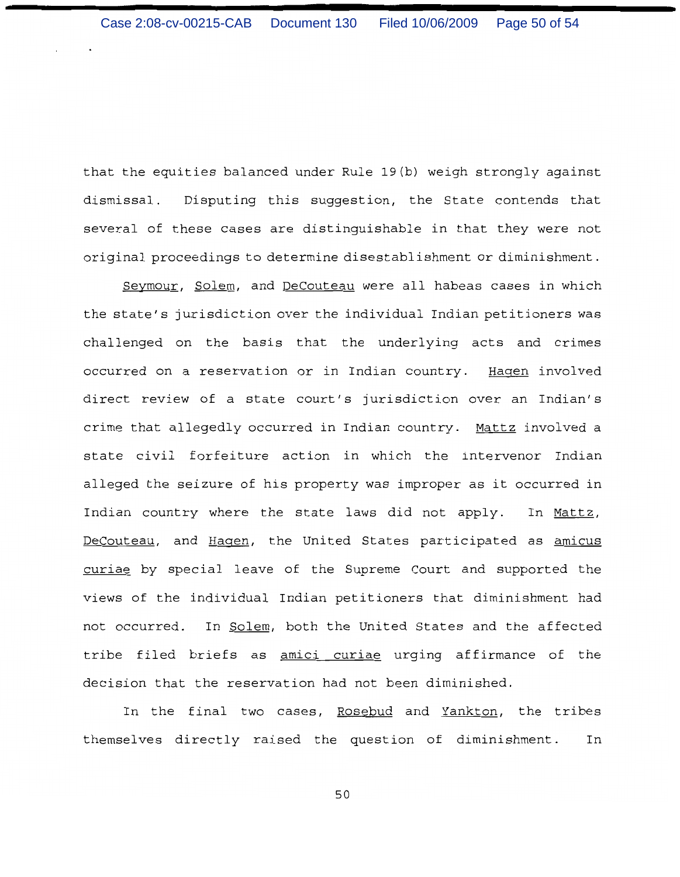that the equities balanced under Rule 19(b) weigh strongly against dismissal. Disputing this suggestion, the State contends that several of these cases are distinguishable in that they were not original proceedings to determine disestablishment or diminishment.

Seymour, Solem, and DeCouteau were all habeas cases in which the state's jurisdiction over the individual Indian petitioners was challenged on the basis that the underlying acts and crimes occurred on a reservation or in Indian country. Hagen involved direct review of a state court's jurisdiction over an Indian's crime that allegedly occurred in Indian country. Mattz involved a state civil forfeiture action in which the intervenor Indian alleged the seizure of his property was improper as it occurred in Indian country where the state laws did not apply. In Mattz, DeCouteau, and Hagen, the United States participated as amicus curiae by special leave of the Supreme Court and supported the views of the individual Indian petitioners that diminishment had not occurred. In Solem, both the United States and the affected tribe filed briefs as amici curiae urging affirmance of the decision that the reservation had not been diminished.

In the final two cases, Rosebud and Yankton, the tribes themselves directly raised the question of diminishment. In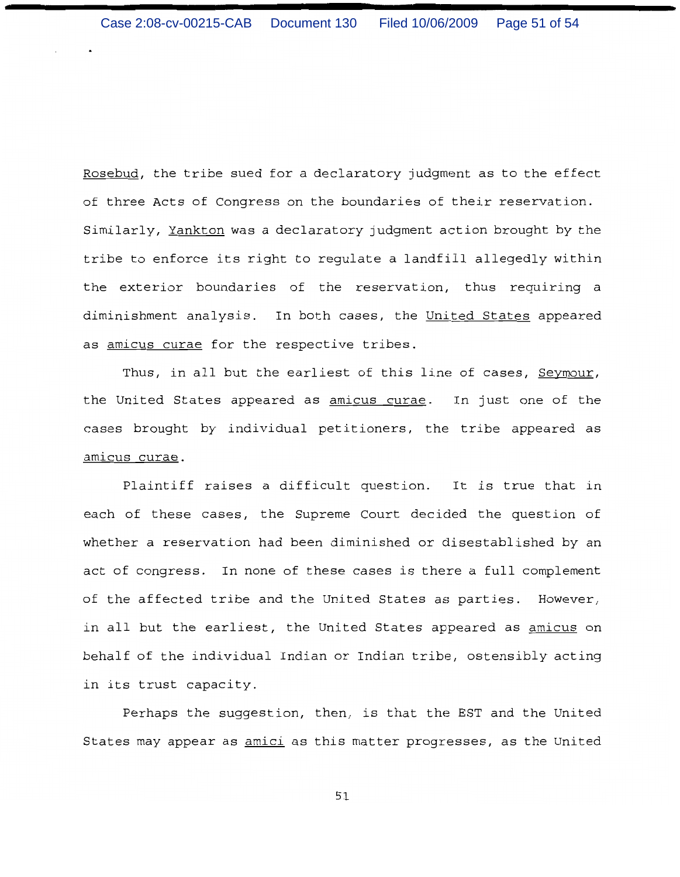Rosebud, the tribe sued for a declaratory judgment as to the effect of three Acts of Congress on the boundaries of their reservation. Similarly, Yankton was a declaratory judgment action brought by the tribe to enforce its right to regulate a landfill allegedly within the exterior boundaries of the reservation, thus requiring a diminishment analysis. In both cases, the United States appeared as amicus curae for the respective tribes.

Thus, in all but the earliest of this line of cases, Seymour, the United States appeared as amicus curae. In just one of the cases brought by individual petitioners, the tribe appeared as amicus curae.

Plaintiff raises a difficult question. It is true that in each of these cases, the Supreme Court decided the question of whether a reservation had been diminished or disestablished by an act of congress. In none of these cases is there a full complement of the affected tribe and the United States as parties. However, in all but the earliest, the United States appeared as amicus on behalf of the individual Indian or Indian tribe, ostensibly acting in its trust capacity.

Perhaps the suggestion, then, is that the EST and the United States may appear as amici as this matter progresses, as the United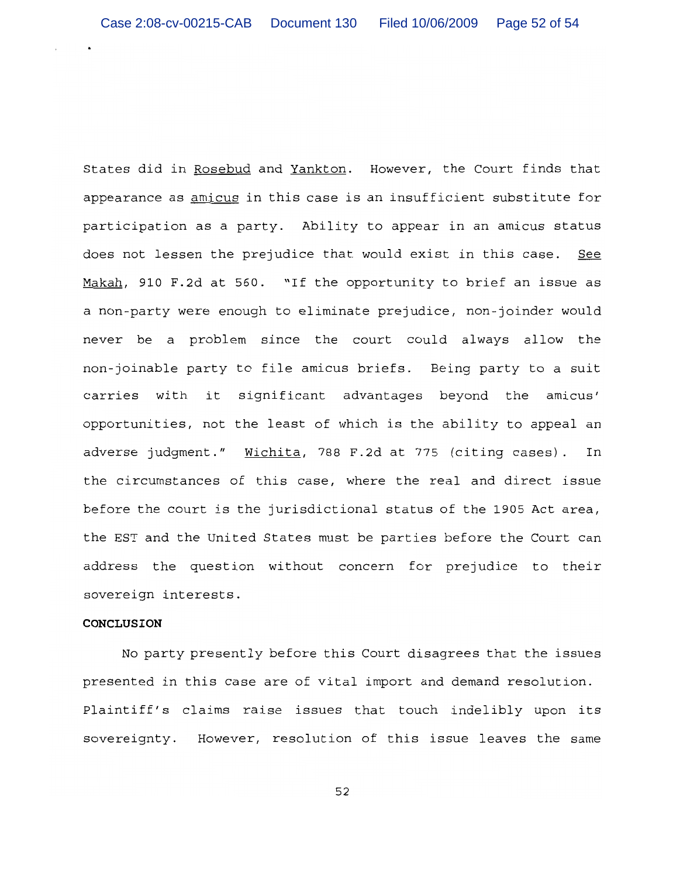States did in Rosebud and Yankton. However, the Court finds that appearance as amicus in this case is an insufficient substitute for participation as a party. Ability to appear in an amicus status does not lessen the prejudice that would exist in this case. See Makah, 910 F.2d at 560. "If the opportunity to brief an issue as a non-party were enough to eliminate prejudice, non-joinder would never be a problem since the court could always allow the non-joinable party to file amicus briefs. Being party to a suit carries with it significant advantages beyond the amicus' opportunities, not the least of which is the ability to appeal an adverse judgment." Wichita, 788 F.2d at 775 (citing cases). In the circumstances of this case, where the real and direct issue before the court is the jurisdictional status of the 1905 Act area, the EST and the United States must be parties before the Court can address the question without concern for prejudice to their sovereign interests.

## **CONCLUSION**

No party presently before this Court disagrees that the issues presented in this case are of vital import and demand resolution. Plaintiff's claims raise issues that touch indelibly upon its sovereignty. However, resolution of this issue leaves the same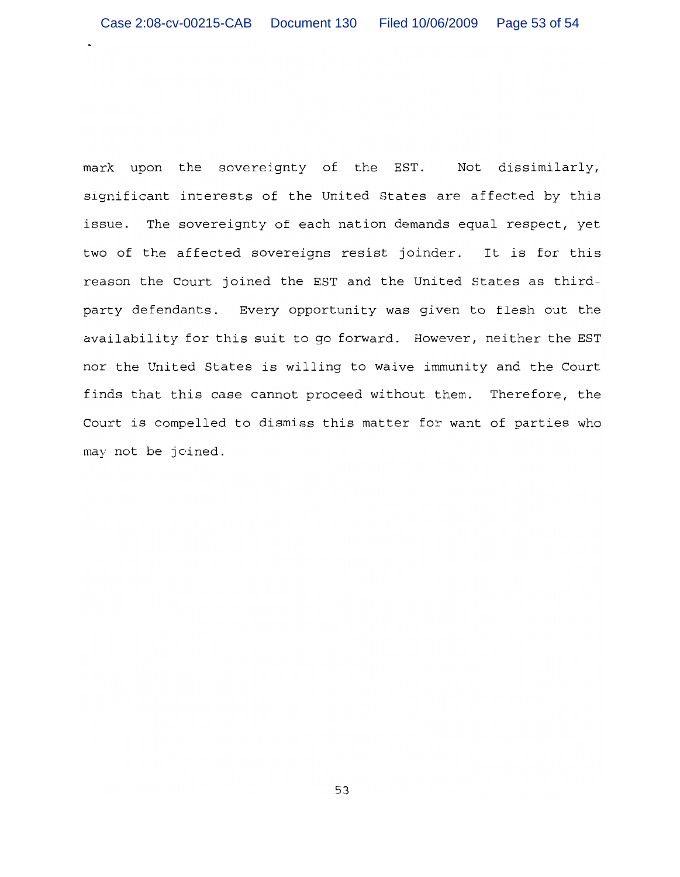mark upon the sovereignty of the EST. Not dissimilarly, significant interests of the United States are affected by this issue. The sovereignty of each nation demands equal respect, yet two of the affected sovereigns resist joinder. It is for this reason the Court joined the EST and the United States as thirdparty defendants. Every opportunity was given to flesh out the availability for this suit to go forward. However, neither the EST nor the United States is willing to waive immunity and the Court finds that this case cannot proceed without them. Therefore, the Court is compelled to dismiss this matter for want of parties who may not be joined.